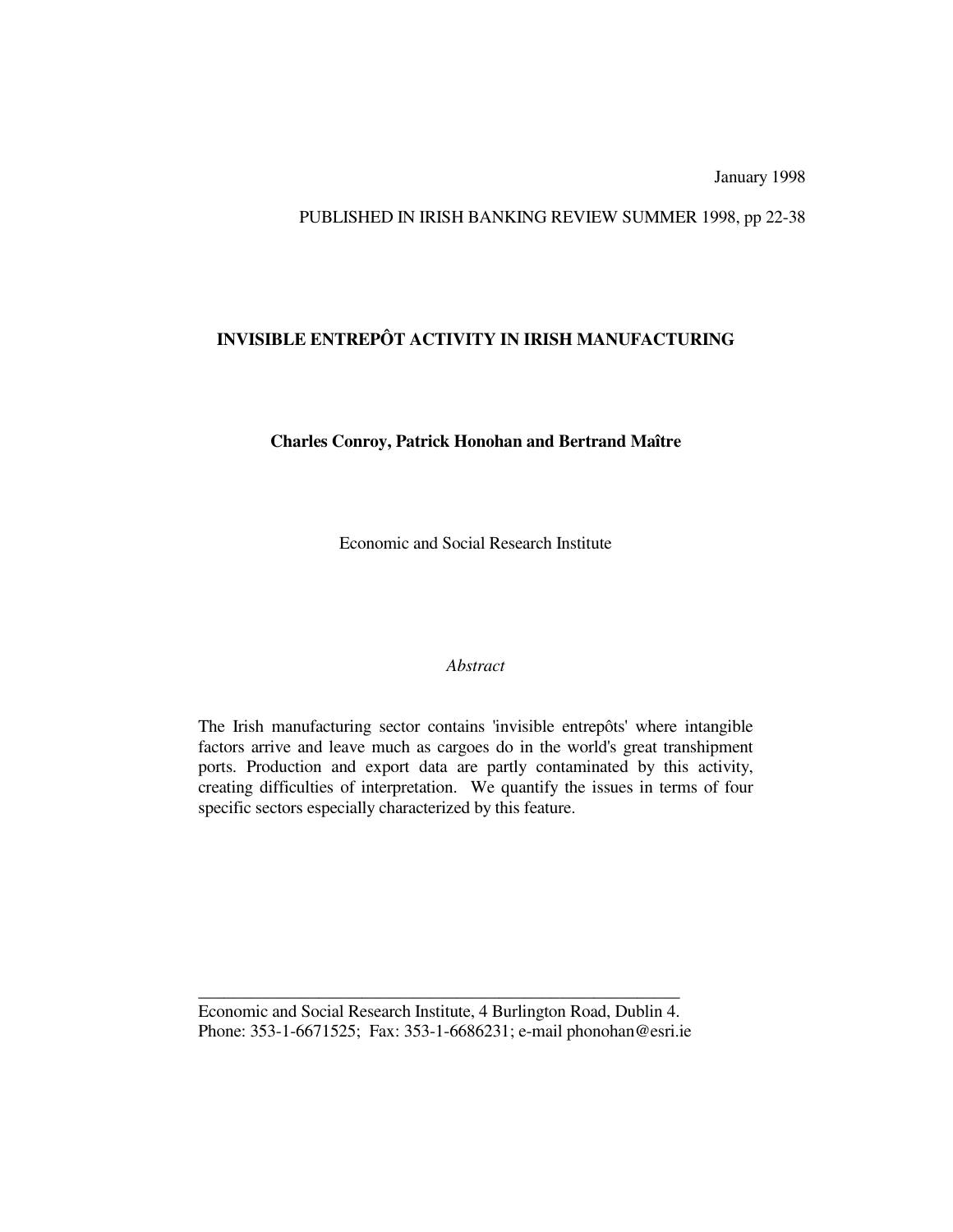January 1998

### PUBLISHED IN IRISH BANKING REVIEW SUMMER 1998, pp 22-38

## **INVISIBLE ENTREPÔT ACTIVITY IN IRISH MANUFACTURING**

### **Charles Conroy, Patrick Honohan and Bertrand Maître**

Economic and Social Research Institute

#### *Abstract*

The Irish manufacturing sector contains 'invisible entrepôts' where intangible factors arrive and leave much as cargoes do in the world's great transhipment ports. Production and export data are partly contaminated by this activity, creating difficulties of interpretation. We quantify the issues in terms of four specific sectors especially characterized by this feature.

Economic and Social Research Institute, 4 Burlington Road, Dublin 4. Phone: 353-1-6671525; Fax: 353-1-6686231; e-mail phonohan@esri.ie

\_\_\_\_\_\_\_\_\_\_\_\_\_\_\_\_\_\_\_\_\_\_\_\_\_\_\_\_\_\_\_\_\_\_\_\_\_\_\_\_\_\_\_\_\_\_\_\_\_\_\_\_\_\_\_\_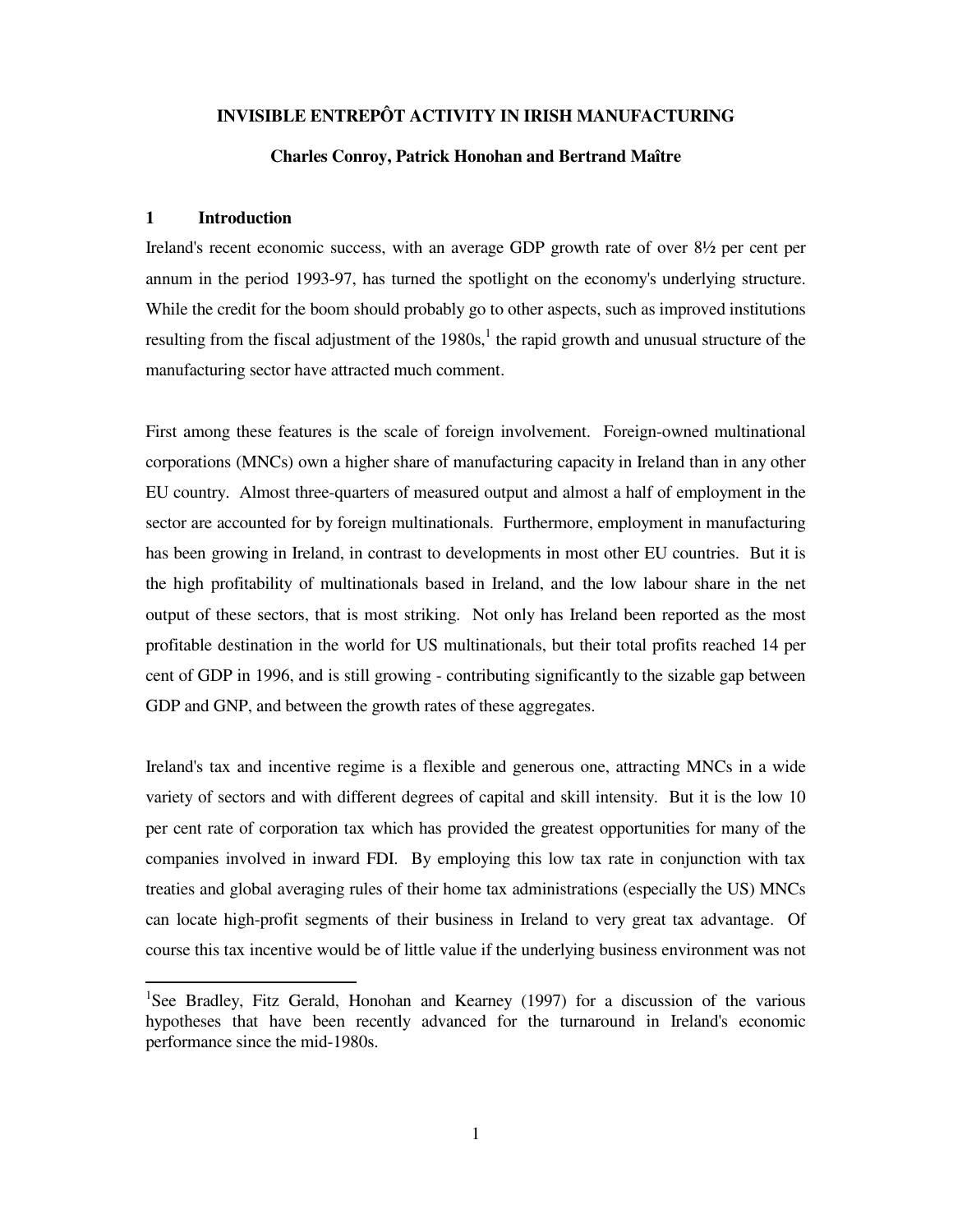### **INVISIBLE ENTREPÔT ACTIVITY IN IRISH MANUFACTURING**

#### **Charles Conroy, Patrick Honohan and Bertrand Maître**

#### **1 Introduction**

Ireland's recent economic success, with an average GDP growth rate of over 8½ per cent per annum in the period 1993-97, has turned the spotlight on the economy's underlying structure. While the credit for the boom should probably go to other aspects, such as improved institutions resulting from the fiscal adjustment of the  $1980s<sup>1</sup>$ , the rapid growth and unusual structure of the manufacturing sector have attracted much comment.

First among these features is the scale of foreign involvement. Foreign-owned multinational corporations (MNCs) own a higher share of manufacturing capacity in Ireland than in any other EU country. Almost three-quarters of measured output and almost a half of employment in the sector are accounted for by foreign multinationals. Furthermore, employment in manufacturing has been growing in Ireland, in contrast to developments in most other EU countries. But it is the high profitability of multinationals based in Ireland, and the low labour share in the net output of these sectors, that is most striking. Not only has Ireland been reported as the most profitable destination in the world for US multinationals, but their total profits reached 14 per cent of GDP in 1996, and is still growing - contributing significantly to the sizable gap between GDP and GNP, and between the growth rates of these aggregates.

Ireland's tax and incentive regime is a flexible and generous one, attracting MNCs in a wide variety of sectors and with different degrees of capital and skill intensity. But it is the low 10 per cent rate of corporation tax which has provided the greatest opportunities for many of the companies involved in inward FDI. By employing this low tax rate in conjunction with tax treaties and global averaging rules of their home tax administrations (especially the US) MNCs can locate high-profit segments of their business in Ireland to very great tax advantage. Of course this tax incentive would be of little value if the underlying business environment was not

<sup>&</sup>lt;sup>1</sup>See Bradley, Fitz Gerald, Honohan and Kearney (1997) for a discussion of the various hypotheses that have been recently advanced for the turnaround in Ireland's economic performance since the mid-1980s.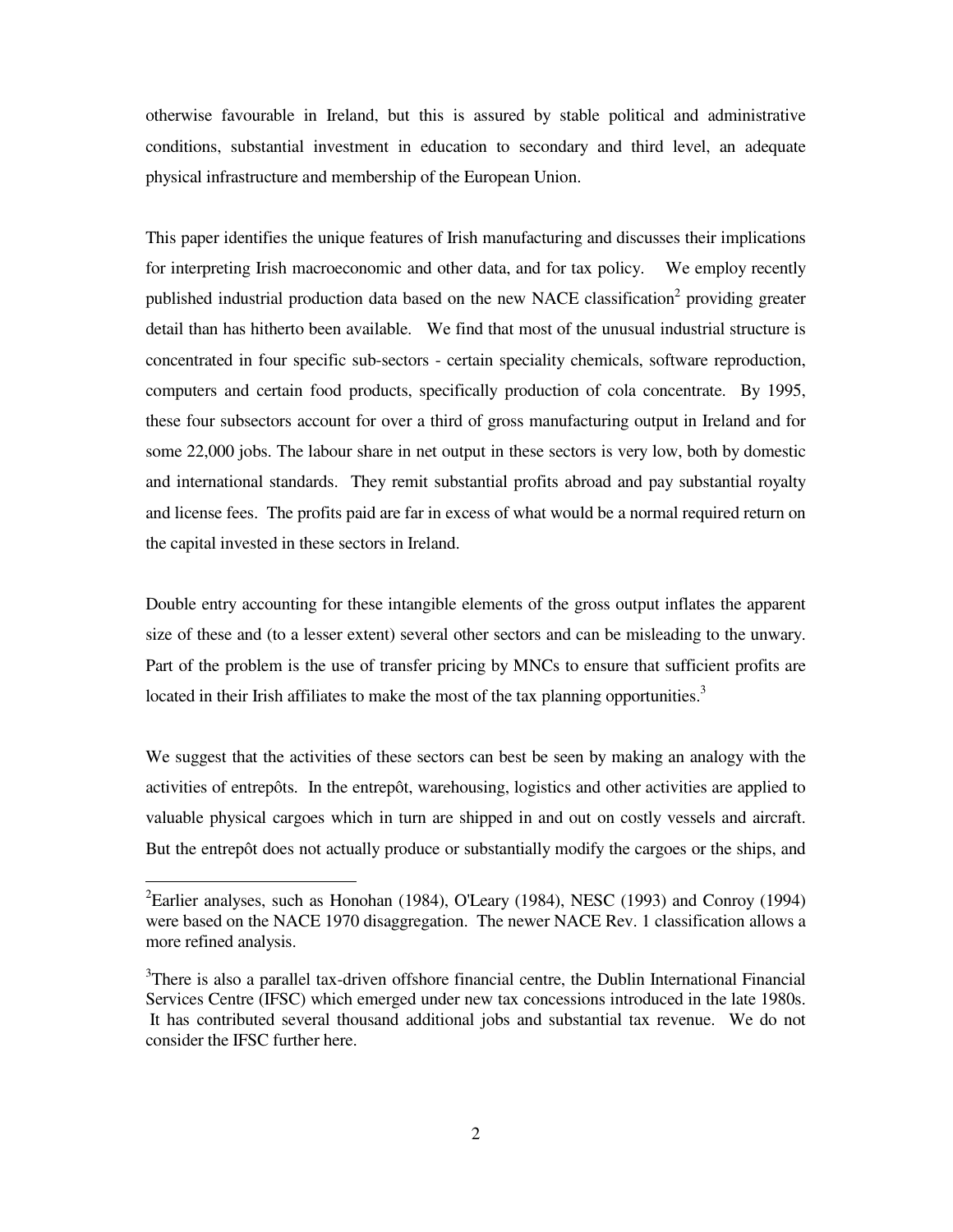otherwise favourable in Ireland, but this is assured by stable political and administrative conditions, substantial investment in education to secondary and third level, an adequate physical infrastructure and membership of the European Union.

This paper identifies the unique features of Irish manufacturing and discusses their implications for interpreting Irish macroeconomic and other data, and for tax policy. We employ recently published industrial production data based on the new NACE classification<sup>2</sup> providing greater detail than has hitherto been available. We find that most of the unusual industrial structure is concentrated in four specific sub-sectors - certain speciality chemicals, software reproduction, computers and certain food products, specifically production of cola concentrate. By 1995, these four subsectors account for over a third of gross manufacturing output in Ireland and for some 22,000 jobs. The labour share in net output in these sectors is very low, both by domestic and international standards. They remit substantial profits abroad and pay substantial royalty and license fees. The profits paid are far in excess of what would be a normal required return on the capital invested in these sectors in Ireland.

Double entry accounting for these intangible elements of the gross output inflates the apparent size of these and (to a lesser extent) several other sectors and can be misleading to the unwary. Part of the problem is the use of transfer pricing by MNCs to ensure that sufficient profits are located in their Irish affiliates to make the most of the tax planning opportunities.<sup>3</sup>

We suggest that the activities of these sectors can best be seen by making an analogy with the activities of entrepôts. In the entrepôt, warehousing, logistics and other activities are applied to valuable physical cargoes which in turn are shipped in and out on costly vessels and aircraft. But the entrepôt does not actually produce or substantially modify the cargoes or the ships, and

<sup>&</sup>lt;sup>2</sup>Earlier analyses, such as Honohan (1984), O'Leary (1984), NESC (1993) and Conroy (1994) were based on the NACE 1970 disaggregation. The newer NACE Rev. 1 classification allows a more refined analysis.

<sup>&</sup>lt;sup>3</sup>There is also a parallel tax-driven offshore financial centre, the Dublin International Financial Services Centre (IFSC) which emerged under new tax concessions introduced in the late 1980s. It has contributed several thousand additional jobs and substantial tax revenue. We do not consider the IFSC further here.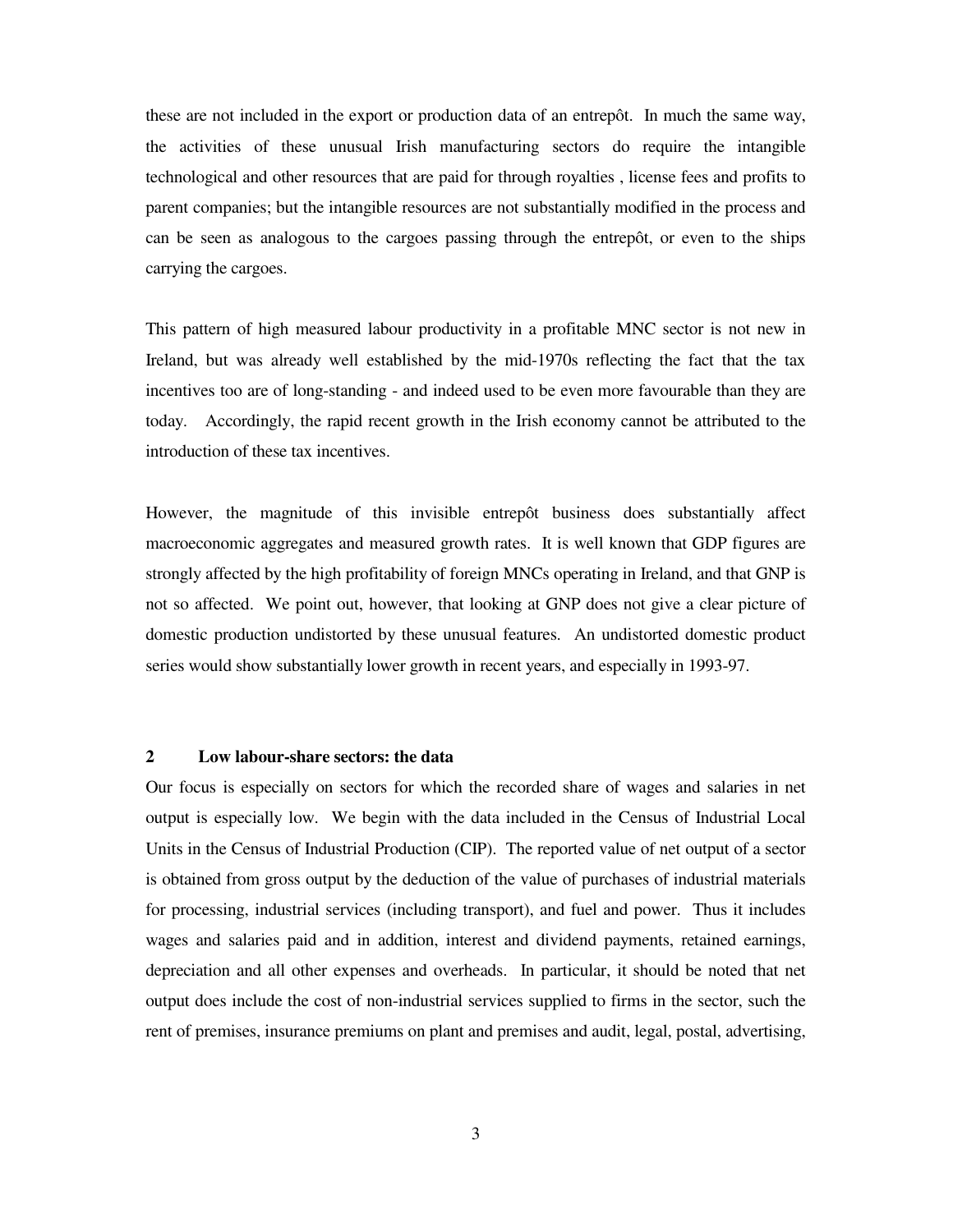these are not included in the export or production data of an entrepôt. In much the same way, the activities of these unusual Irish manufacturing sectors do require the intangible technological and other resources that are paid for through royalties , license fees and profits to parent companies; but the intangible resources are not substantially modified in the process and can be seen as analogous to the cargoes passing through the entrepôt, or even to the ships carrying the cargoes.

This pattern of high measured labour productivity in a profitable MNC sector is not new in Ireland, but was already well established by the mid-1970s reflecting the fact that the tax incentives too are of long-standing - and indeed used to be even more favourable than they are today. Accordingly, the rapid recent growth in the Irish economy cannot be attributed to the introduction of these tax incentives.

However, the magnitude of this invisible entrepôt business does substantially affect macroeconomic aggregates and measured growth rates. It is well known that GDP figures are strongly affected by the high profitability of foreign MNCs operating in Ireland, and that GNP is not so affected. We point out, however, that looking at GNP does not give a clear picture of domestic production undistorted by these unusual features. An undistorted domestic product series would show substantially lower growth in recent years, and especially in 1993-97.

#### **2 Low labour-share sectors: the data**

Our focus is especially on sectors for which the recorded share of wages and salaries in net output is especially low. We begin with the data included in the Census of Industrial Local Units in the Census of Industrial Production (CIP). The reported value of net output of a sector is obtained from gross output by the deduction of the value of purchases of industrial materials for processing, industrial services (including transport), and fuel and power. Thus it includes wages and salaries paid and in addition, interest and dividend payments, retained earnings, depreciation and all other expenses and overheads. In particular, it should be noted that net output does include the cost of non-industrial services supplied to firms in the sector, such the rent of premises, insurance premiums on plant and premises and audit, legal, postal, advertising,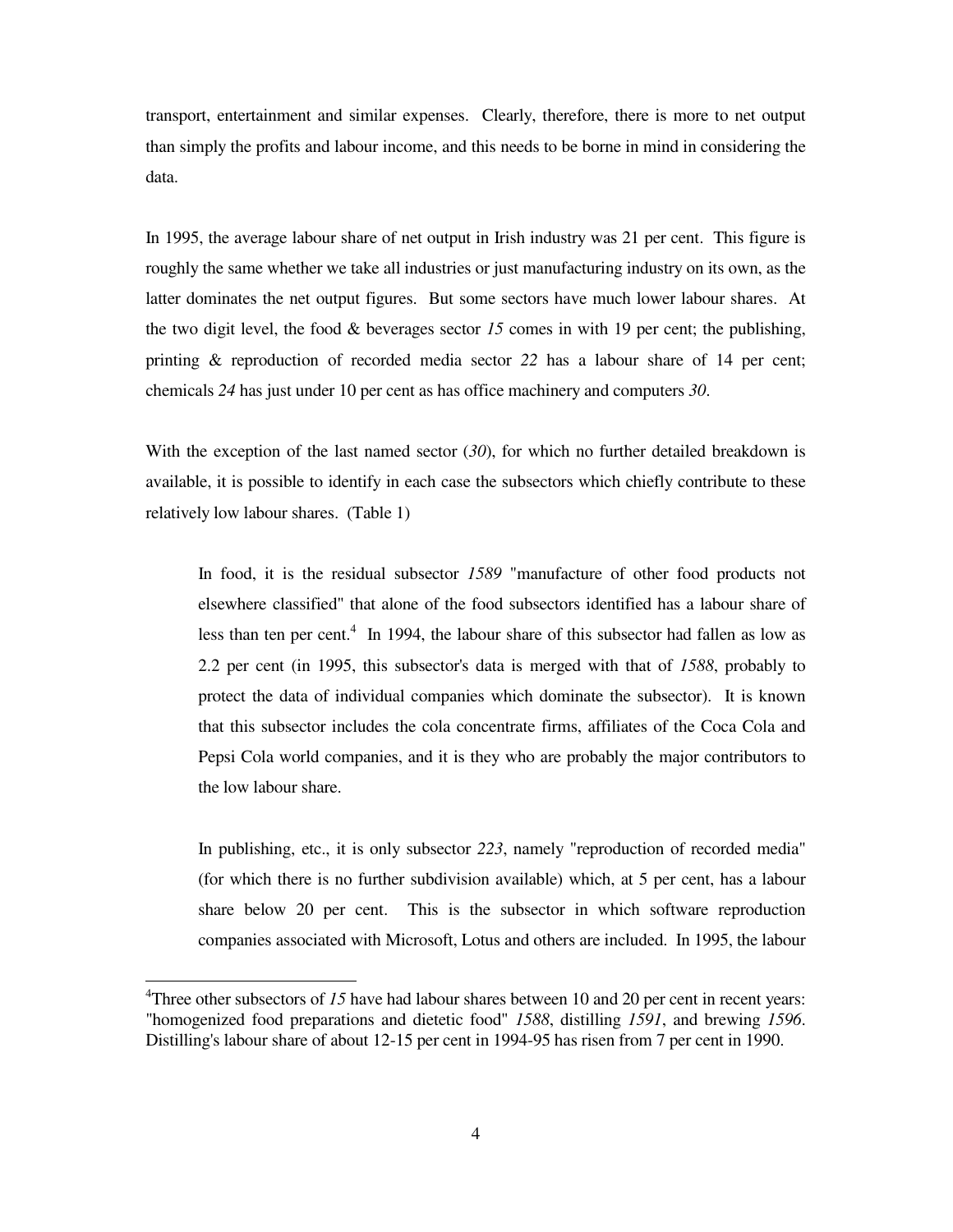transport, entertainment and similar expenses. Clearly, therefore, there is more to net output than simply the profits and labour income, and this needs to be borne in mind in considering the data.

In 1995, the average labour share of net output in Irish industry was 21 per cent. This figure is roughly the same whether we take all industries or just manufacturing industry on its own, as the latter dominates the net output figures. But some sectors have much lower labour shares. At the two digit level, the food  $\&$  beverages sector 15 comes in with 19 per cent; the publishing, printing & reproduction of recorded media sector *22* has a labour share of 14 per cent; chemicals *24* has just under 10 per cent as has office machinery and computers *30*.

With the exception of the last named sector (*30*), for which no further detailed breakdown is available, it is possible to identify in each case the subsectors which chiefly contribute to these relatively low labour shares. (Table 1)

In food, it is the residual subsector *1589* "manufacture of other food products not elsewhere classified" that alone of the food subsectors identified has a labour share of less than ten per cent. 4 In 1994, the labour share of this subsector had fallen as low as 2.2 per cent (in 1995, this subsector's data is merged with that of *1588*, probably to protect the data of individual companies which dominate the subsector). It is known that this subsector includes the cola concentrate firms, affiliates of the Coca Cola and Pepsi Cola world companies, and it is they who are probably the major contributors to the low labour share.

In publishing, etc., it is only subsector *223*, namely "reproduction of recorded media" (for which there is no further subdivision available) which, at 5 per cent, has a labour share below 20 per cent. This is the subsector in which software reproduction companies associated with Microsoft, Lotus and others are included. In 1995, the labour

<sup>&</sup>lt;sup>4</sup>Three other subsectors of *15* have had labour shares between 10 and 20 per cent in recent years: "homogenized food preparations and dietetic food" *1588*, distilling *1591*, and brewing *1596*. Distilling's labour share of about 12-15 per cent in 1994-95 has risen from 7 per cent in 1990.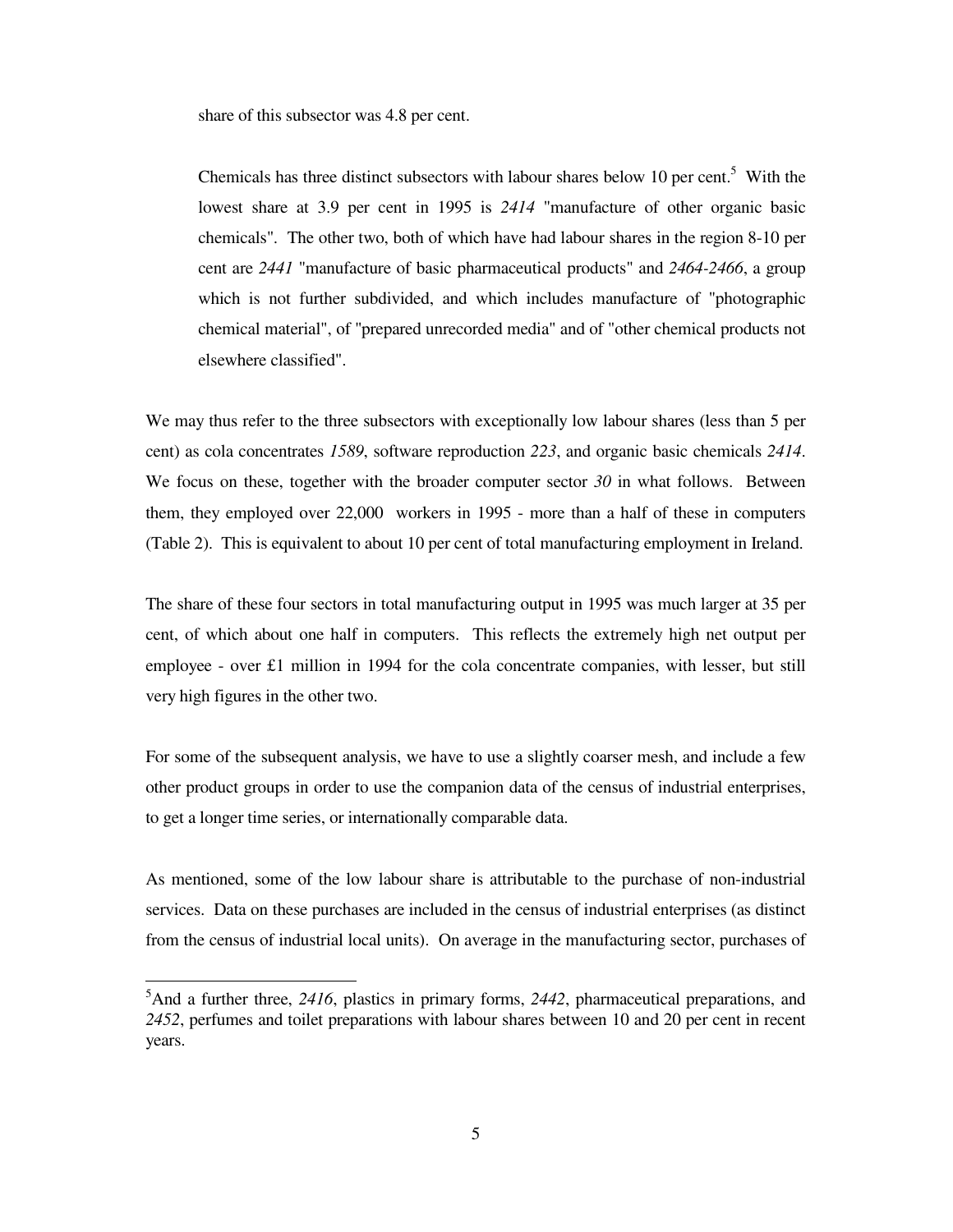share of this subsector was 4.8 per cent.

Chemicals has three distinct subsectors with labour shares below 10 per cent.<sup>5</sup> With the lowest share at 3.9 per cent in 1995 is *2414* "manufacture of other organic basic chemicals". The other two, both of which have had labour shares in the region 8-10 per cent are *2441* "manufacture of basic pharmaceutical products" and *2464-2466*, a group which is not further subdivided, and which includes manufacture of "photographic chemical material", of "prepared unrecorded media" and of "other chemical products not elsewhere classified".

We may thus refer to the three subsectors with exceptionally low labour shares (less than 5 per cent) as cola concentrates *1589*, software reproduction *223*, and organic basic chemicals *2414*. We focus on these, together with the broader computer sector *30* in what follows. Between them, they employed over 22,000 workers in 1995 - more than a half of these in computers (Table 2). This is equivalent to about 10 per cent of total manufacturing employment in Ireland.

The share of these four sectors in total manufacturing output in 1995 was much larger at 35 per cent, of which about one half in computers. This reflects the extremely high net output per employee - over £1 million in 1994 for the cola concentrate companies, with lesser, but still very high figures in the other two.

For some of the subsequent analysis, we have to use a slightly coarser mesh, and include a few other product groups in order to use the companion data of the census of industrial enterprises, to get a longer time series, or internationally comparable data.

As mentioned, some of the low labour share is attributable to the purchase of non-industrial services. Data on these purchases are included in the census of industrial enterprises (as distinct from the census of industrial local units). On average in the manufacturing sector, purchases of

<sup>5</sup>And a further three, *2416*, plastics in primary forms, *2442*, pharmaceutical preparations, and *2452*, perfumes and toilet preparations with labour shares between 10 and 20 per cent in recent years.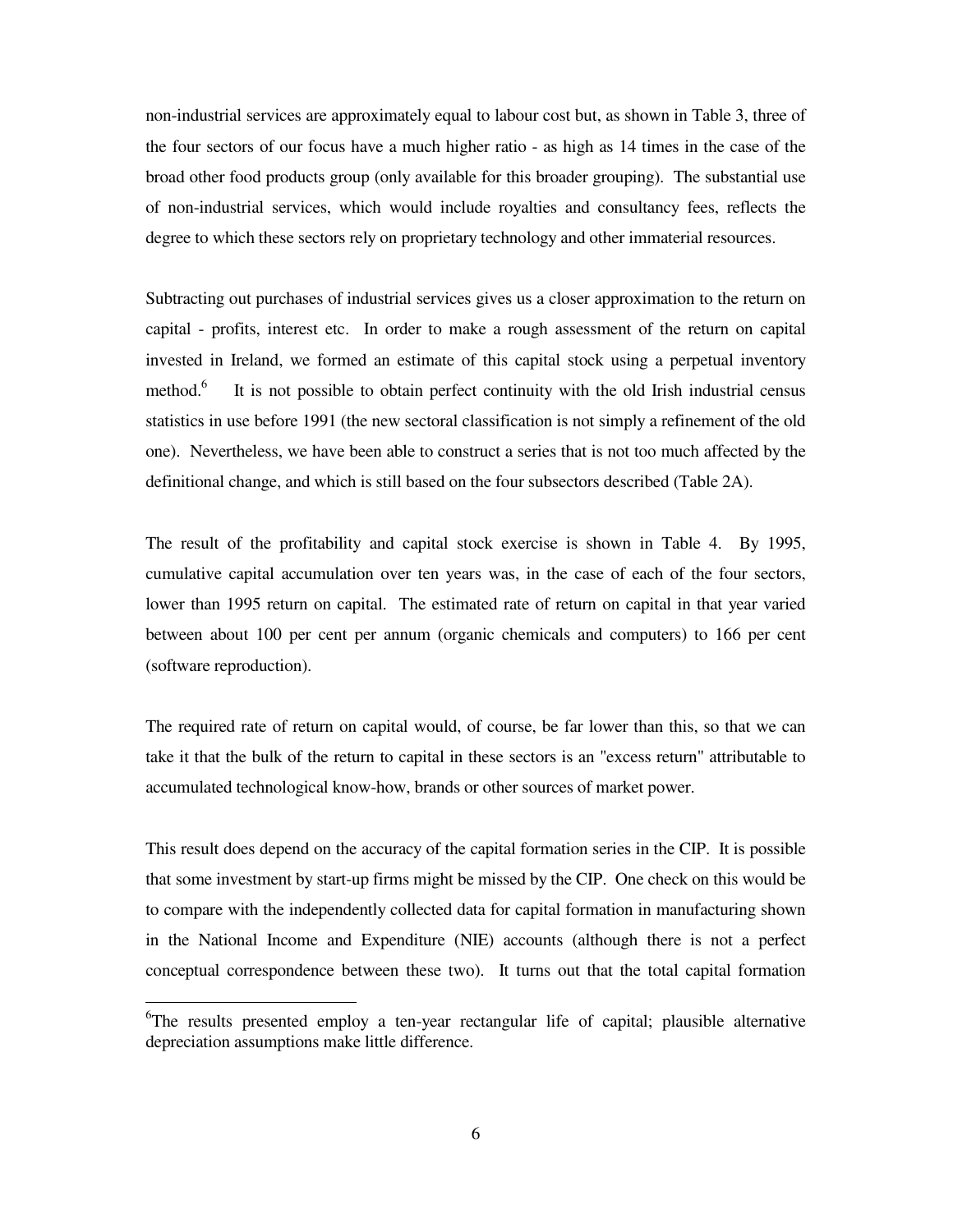non-industrial services are approximately equal to labour cost but, as shown in Table 3, three of the four sectors of our focus have a much higher ratio - as high as 14 times in the case of the broad other food products group (only available for this broader grouping). The substantial use of non-industrial services, which would include royalties and consultancy fees, reflects the degree to which these sectors rely on proprietary technology and other immaterial resources.

Subtracting out purchases of industrial services gives us a closer approximation to the return on capital - profits, interest etc. In order to make a rough assessment of the return on capital invested in Ireland, we formed an estimate of this capital stock using a perpetual inventory method. 6 It is not possible to obtain perfect continuity with the old Irish industrial census statistics in use before 1991 (the new sectoral classification is not simply a refinement of the old one). Nevertheless, we have been able to construct a series that is not too much affected by the definitional change, and which is still based on the four subsectors described (Table 2A).

The result of the profitability and capital stock exercise is shown in Table 4. By 1995, cumulative capital accumulation over ten years was, in the case of each of the four sectors, lower than 1995 return on capital. The estimated rate of return on capital in that year varied between about 100 per cent per annum (organic chemicals and computers) to 166 per cent (software reproduction).

The required rate of return on capital would, of course, be far lower than this, so that we can take it that the bulk of the return to capital in these sectors is an "excess return" attributable to accumulated technological know-how, brands or other sources of market power.

This result does depend on the accuracy of the capital formation series in the CIP. It is possible that some investment by start-up firms might be missed by the CIP. One check on this would be to compare with the independently collected data for capital formation in manufacturing shown in the National Income and Expenditure (NIE) accounts (although there is not a perfect conceptual correspondence between these two). It turns out that the total capital formation

<sup>&</sup>lt;sup>6</sup>The results presented employ a ten-year rectangular life of capital; plausible alternative depreciation assumptions make little difference.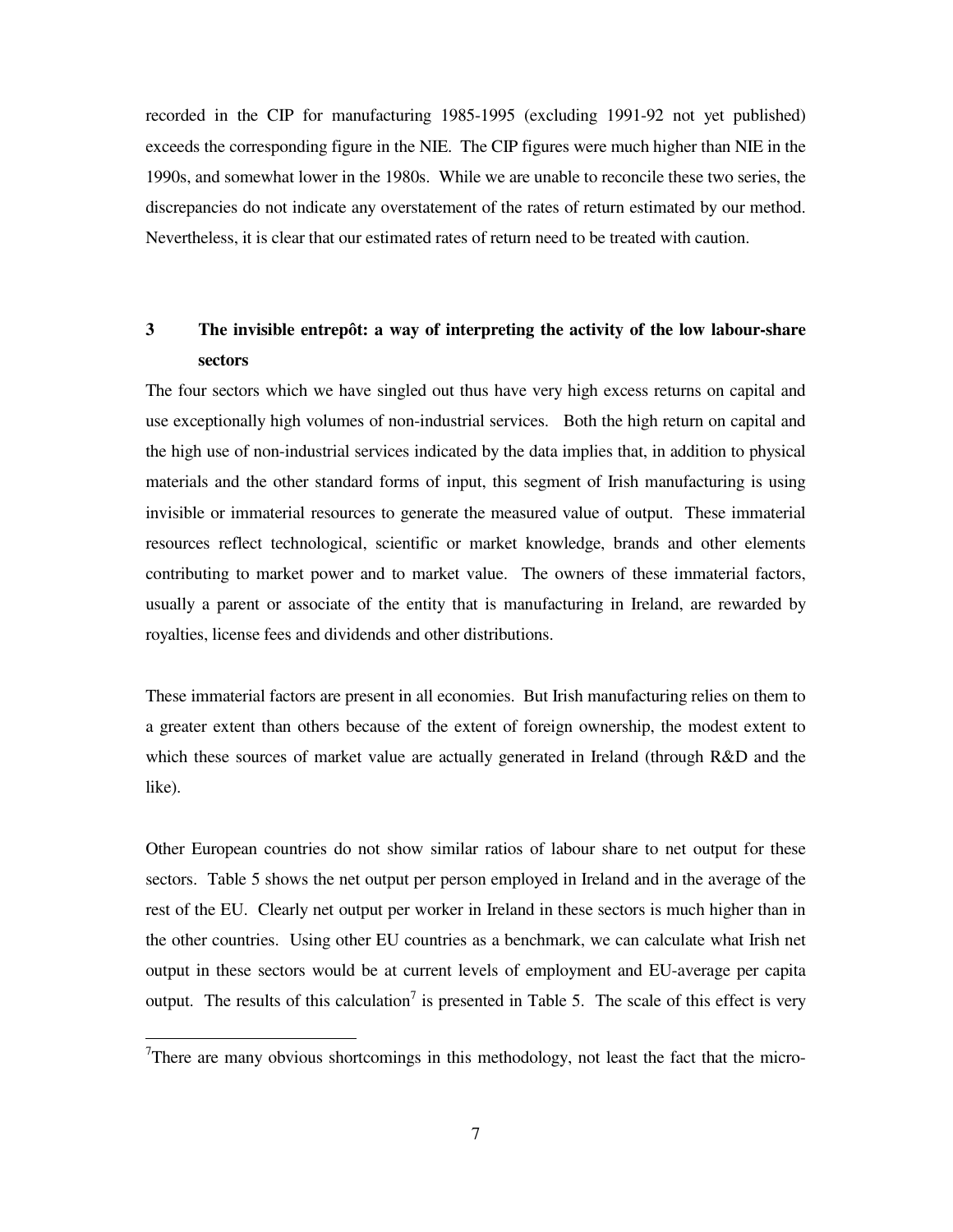recorded in the CIP for manufacturing 1985-1995 (excluding 1991-92 not yet published) exceeds the corresponding figure in the NIE. The CIP figures were much higher than NIE in the 1990s, and somewhat lower in the 1980s. While we are unable to reconcile these two series, the discrepancies do not indicate any overstatement of the rates of return estimated by our method. Nevertheless, it is clear that our estimated rates of return need to be treated with caution.

# **3 The invisible entrepôt: a way of interpreting the activity of the low labour-share sectors**

The four sectors which we have singled out thus have very high excess returns on capital and use exceptionally high volumes of non-industrial services. Both the high return on capital and the high use of non-industrial services indicated by the data implies that, in addition to physical materials and the other standard forms of input, this segment of Irish manufacturing is using invisible or immaterial resources to generate the measured value of output. These immaterial resources reflect technological, scientific or market knowledge, brands and other elements contributing to market power and to market value. The owners of these immaterial factors, usually a parent or associate of the entity that is manufacturing in Ireland, are rewarded by royalties, license fees and dividends and other distributions.

These immaterial factors are present in all economies. But Irish manufacturing relies on them to a greater extent than others because of the extent of foreign ownership, the modest extent to which these sources of market value are actually generated in Ireland (through R&D and the like).

Other European countries do not show similar ratios of labour share to net output for these sectors. Table 5 shows the net output per person employed in Ireland and in the average of the rest of the EU. Clearly net output per worker in Ireland in these sectors is much higher than in the other countries. Using other EU countries as a benchmark, we can calculate what Irish net output in these sectors would be at current levels of employment and EU-average per capita output. The results of this calculation<sup>7</sup> is presented in Table 5. The scale of this effect is very

 $7$ There are many obvious shortcomings in this methodology, not least the fact that the micro-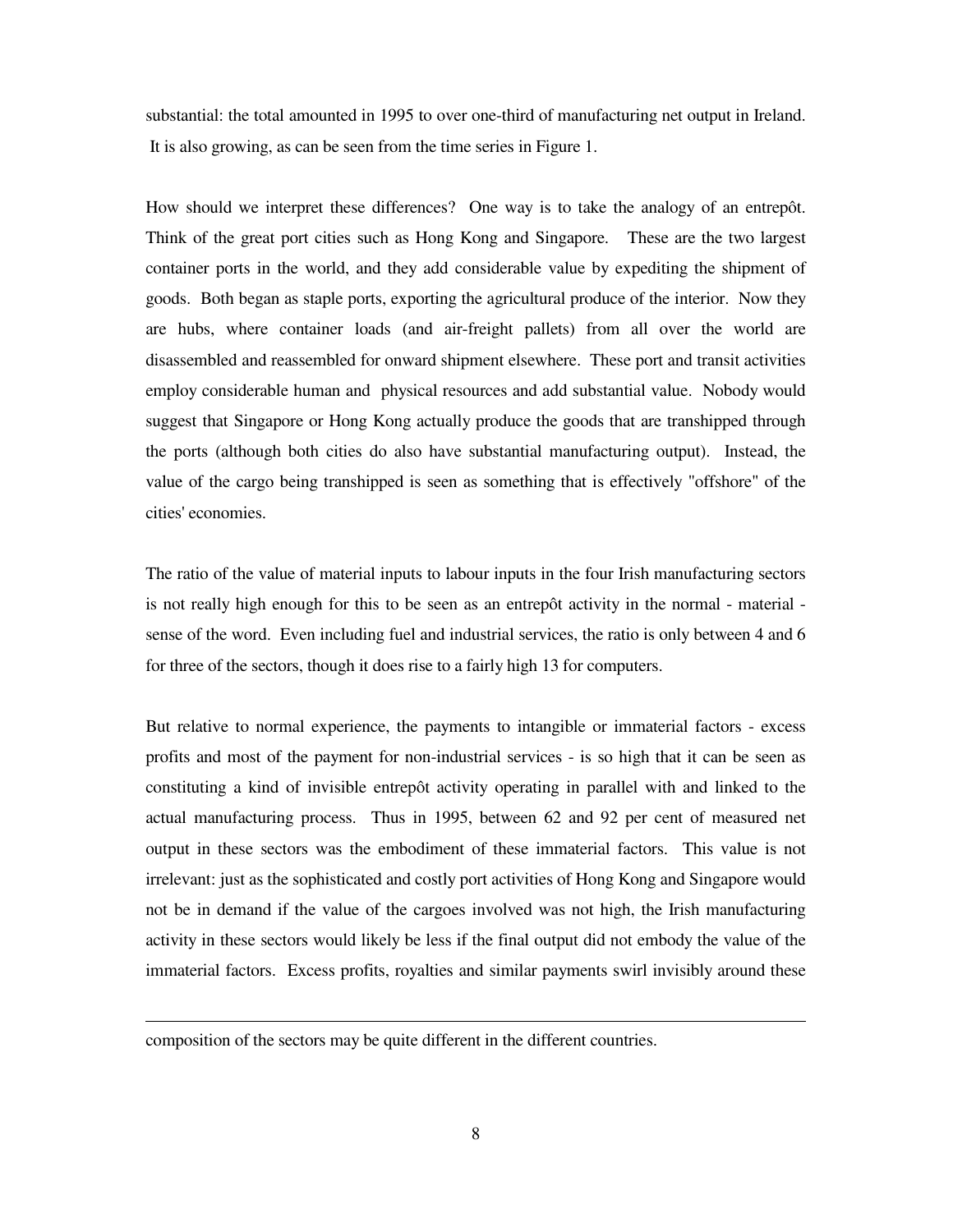substantial: the total amounted in 1995 to over one-third of manufacturing net output in Ireland. It is also growing, as can be seen from the time series in Figure 1.

How should we interpret these differences? One way is to take the analogy of an entrepôt. Think of the great port cities such as Hong Kong and Singapore. These are the two largest container ports in the world, and they add considerable value by expediting the shipment of goods. Both began as staple ports, exporting the agricultural produce of the interior. Now they are hubs, where container loads (and air-freight pallets) from all over the world are disassembled and reassembled for onward shipment elsewhere. These port and transit activities employ considerable human and physical resources and add substantial value. Nobody would suggest that Singapore or Hong Kong actually produce the goods that are transhipped through the ports (although both cities do also have substantial manufacturing output). Instead, the value of the cargo being transhipped is seen as something that is effectively "offshore" of the cities' economies.

The ratio of the value of material inputs to labour inputs in the four Irish manufacturing sectors is not really high enough for this to be seen as an entrepôt activity in the normal - material sense of the word. Even including fuel and industrial services, the ratio is only between 4 and 6 for three of the sectors, though it does rise to a fairly high 13 for computers.

But relative to normal experience, the payments to intangible or immaterial factors - excess profits and most of the payment for non-industrial services - is so high that it can be seen as constituting a kind of invisible entrepôt activity operating in parallel with and linked to the actual manufacturing process. Thus in 1995, between 62 and 92 per cent of measured net output in these sectors was the embodiment of these immaterial factors. This value is not irrelevant: just as the sophisticated and costly port activities of Hong Kong and Singapore would not be in demand if the value of the cargoes involved was not high, the Irish manufacturing activity in these sectors would likely be less if the final output did not embody the value of the immaterial factors. Excess profits, royalties and similar payments swirl invisibly around these

composition of the sectors may be quite different in the different countries.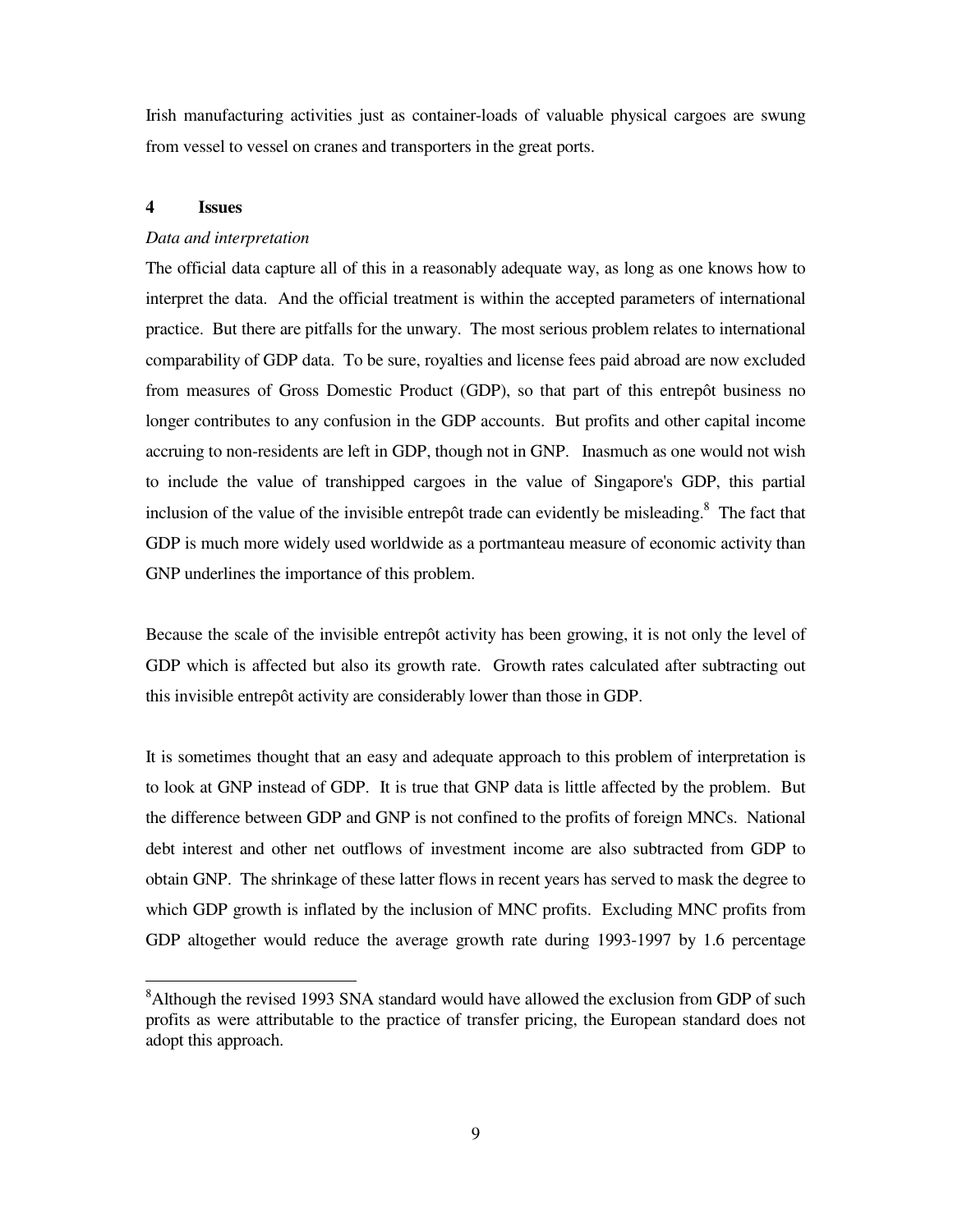Irish manufacturing activities just as container-loads of valuable physical cargoes are swung from vessel to vessel on cranes and transporters in the great ports.

### **4 Issues**

#### *Data and interpretation*

The official data capture all of this in a reasonably adequate way, as long as one knows how to interpret the data. And the official treatment is within the accepted parameters of international practice. But there are pitfalls for the unwary. The most serious problem relates to international comparability of GDP data. To be sure, royalties and license fees paid abroad are now excluded from measures of Gross Domestic Product (GDP), so that part of this entrepôt business no longer contributes to any confusion in the GDP accounts. But profits and other capital income accruing to non-residents are left in GDP, though not in GNP. Inasmuch as one would not wish to include the value of transhipped cargoes in the value of Singapore's GDP, this partial inclusion of the value of the invisible entrepôt trade can evidently be misleading. <sup>8</sup> The fact that GDP is much more widely used worldwide as a portmanteau measure of economic activity than GNP underlines the importance of this problem.

Because the scale of the invisible entrepôt activity has been growing, it is not only the level of GDP which is affected but also its growth rate. Growth rates calculated after subtracting out this invisible entrepôt activity are considerably lower than those in GDP.

It is sometimes thought that an easy and adequate approach to this problem of interpretation is to look at GNP instead of GDP. It is true that GNP data is little affected by the problem. But the difference between GDP and GNP is not confined to the profits of foreign MNCs. National debt interest and other net outflows of investment income are also subtracted from GDP to obtain GNP. The shrinkage of these latter flows in recent years has served to mask the degree to which GDP growth is inflated by the inclusion of MNC profits. Excluding MNC profits from GDP altogether would reduce the average growth rate during 1993-1997 by 1.6 percentage

<sup>&</sup>lt;sup>8</sup>Although the revised 1993 SNA standard would have allowed the exclusion from GDP of such profits as were attributable to the practice of transfer pricing, the European standard does not adopt this approach.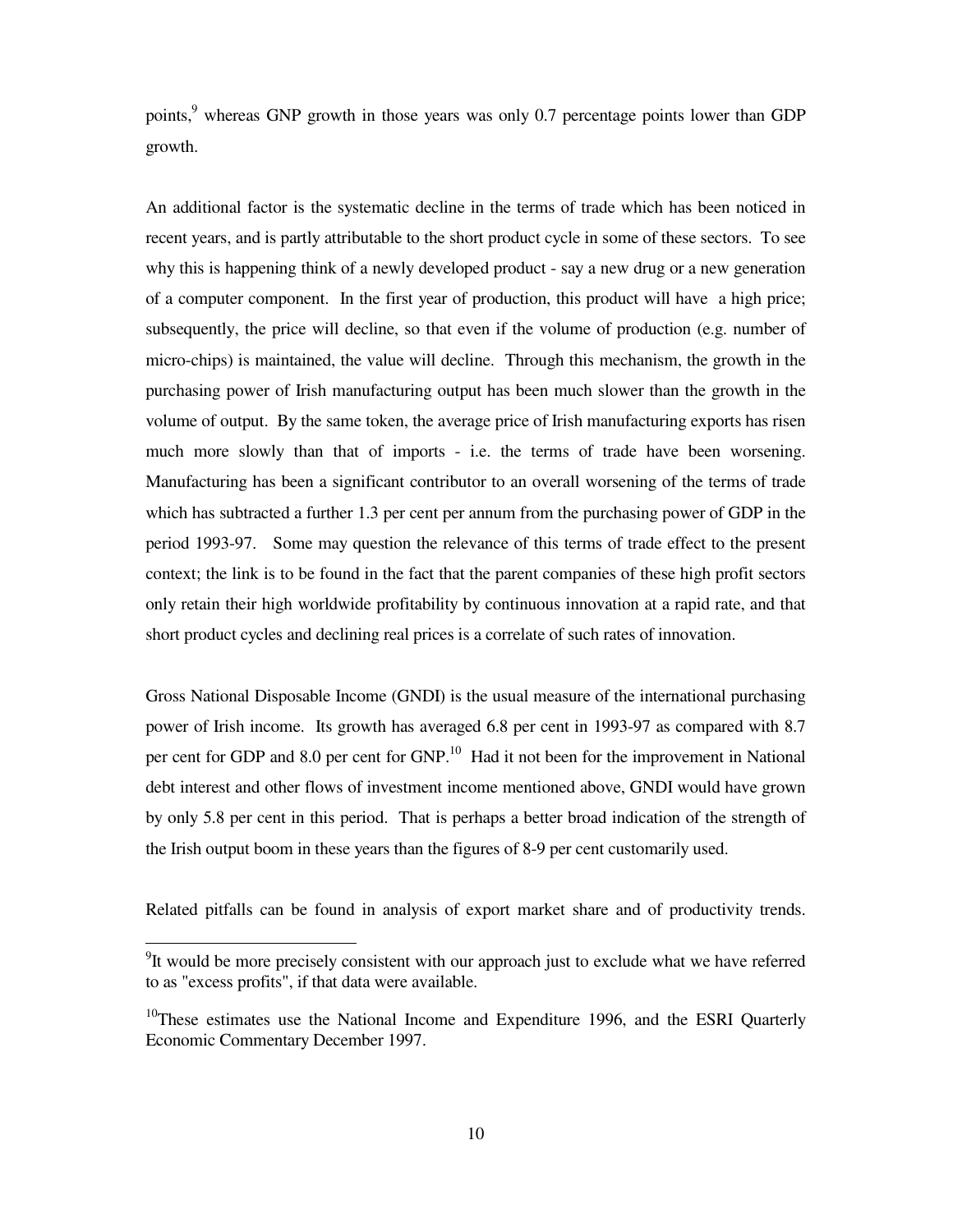points,<sup>9</sup> whereas GNP growth in those years was only 0.7 percentage points lower than GDP growth.

An additional factor is the systematic decline in the terms of trade which has been noticed in recent years, and is partly attributable to the short product cycle in some of these sectors. To see why this is happening think of a newly developed product - say a new drug or a new generation of a computer component. In the first year of production, this product will have a high price; subsequently, the price will decline, so that even if the volume of production (e.g. number of micro-chips) is maintained, the value will decline. Through this mechanism, the growth in the purchasing power of Irish manufacturing output has been much slower than the growth in the volume of output. By the same token, the average price of Irish manufacturing exports has risen much more slowly than that of imports - i.e. the terms of trade have been worsening. Manufacturing has been a significant contributor to an overall worsening of the terms of trade which has subtracted a further 1.3 per cent per annum from the purchasing power of GDP in the period 1993-97. Some may question the relevance of this terms of trade effect to the present context; the link is to be found in the fact that the parent companies of these high profit sectors only retain their high worldwide profitability by continuous innovation at a rapid rate, and that short product cycles and declining real prices is a correlate of such rates of innovation.

Gross National Disposable Income (GNDI) is the usual measure of the international purchasing power of Irish income. Its growth has averaged 6.8 per cent in 1993-97 as compared with 8.7 per cent for GDP and 8.0 per cent for GNP.<sup>10</sup> Had it not been for the improvement in National debt interest and other flows of investment income mentioned above, GNDI would have grown by only 5.8 per cent in this period. That is perhaps a better broad indication of the strength of the Irish output boom in these years than the figures of 8-9 per cent customarily used.

Related pitfalls can be found in analysis of export market share and of productivity trends.

 $9$ It would be more precisely consistent with our approach just to exclude what we have referred to as "excess profits", if that data were available.

<sup>&</sup>lt;sup>10</sup>These estimates use the National Income and Expenditure 1996, and the ESRI Quarterly Economic Commentary December 1997.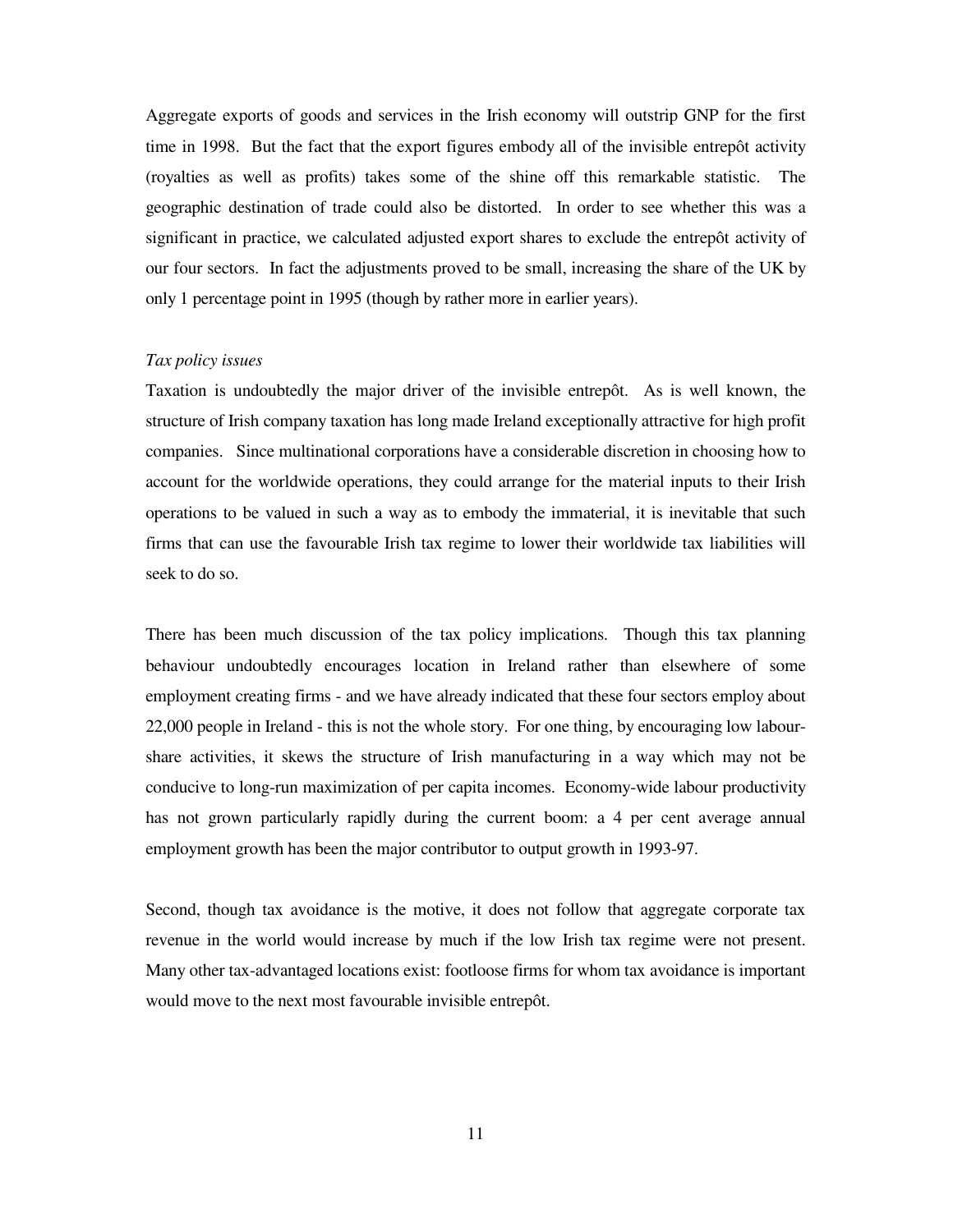Aggregate exports of goods and services in the Irish economy will outstrip GNP for the first time in 1998. But the fact that the export figures embody all of the invisible entrepôt activity (royalties as well as profits) takes some of the shine off this remarkable statistic. The geographic destination of trade could also be distorted. In order to see whether this was a significant in practice, we calculated adjusted export shares to exclude the entrepôt activity of our four sectors. In fact the adjustments proved to be small, increasing the share of the UK by only 1 percentage point in 1995 (though by rather more in earlier years).

#### *Tax policy issues*

Taxation is undoubtedly the major driver of the invisible entrepôt. As is well known, the structure of Irish company taxation has long made Ireland exceptionally attractive for high profit companies. Since multinational corporations have a considerable discretion in choosing how to account for the worldwide operations, they could arrange for the material inputs to their Irish operations to be valued in such a way as to embody the immaterial, it is inevitable that such firms that can use the favourable Irish tax regime to lower their worldwide tax liabilities will seek to do so.

There has been much discussion of the tax policy implications. Though this tax planning behaviour undoubtedly encourages location in Ireland rather than elsewhere of some employment creating firms - and we have already indicated that these four sectors employ about 22,000 people in Ireland - this is not the whole story. For one thing, by encouraging low labourshare activities, it skews the structure of Irish manufacturing in a way which may not be conducive to long-run maximization of per capita incomes. Economy-wide labour productivity has not grown particularly rapidly during the current boom: a 4 per cent average annual employment growth has been the major contributor to output growth in 1993-97.

Second, though tax avoidance is the motive, it does not follow that aggregate corporate tax revenue in the world would increase by much if the low Irish tax regime were not present. Many other tax-advantaged locations exist: footloose firms for whom tax avoidance is important would move to the next most favourable invisible entrepôt.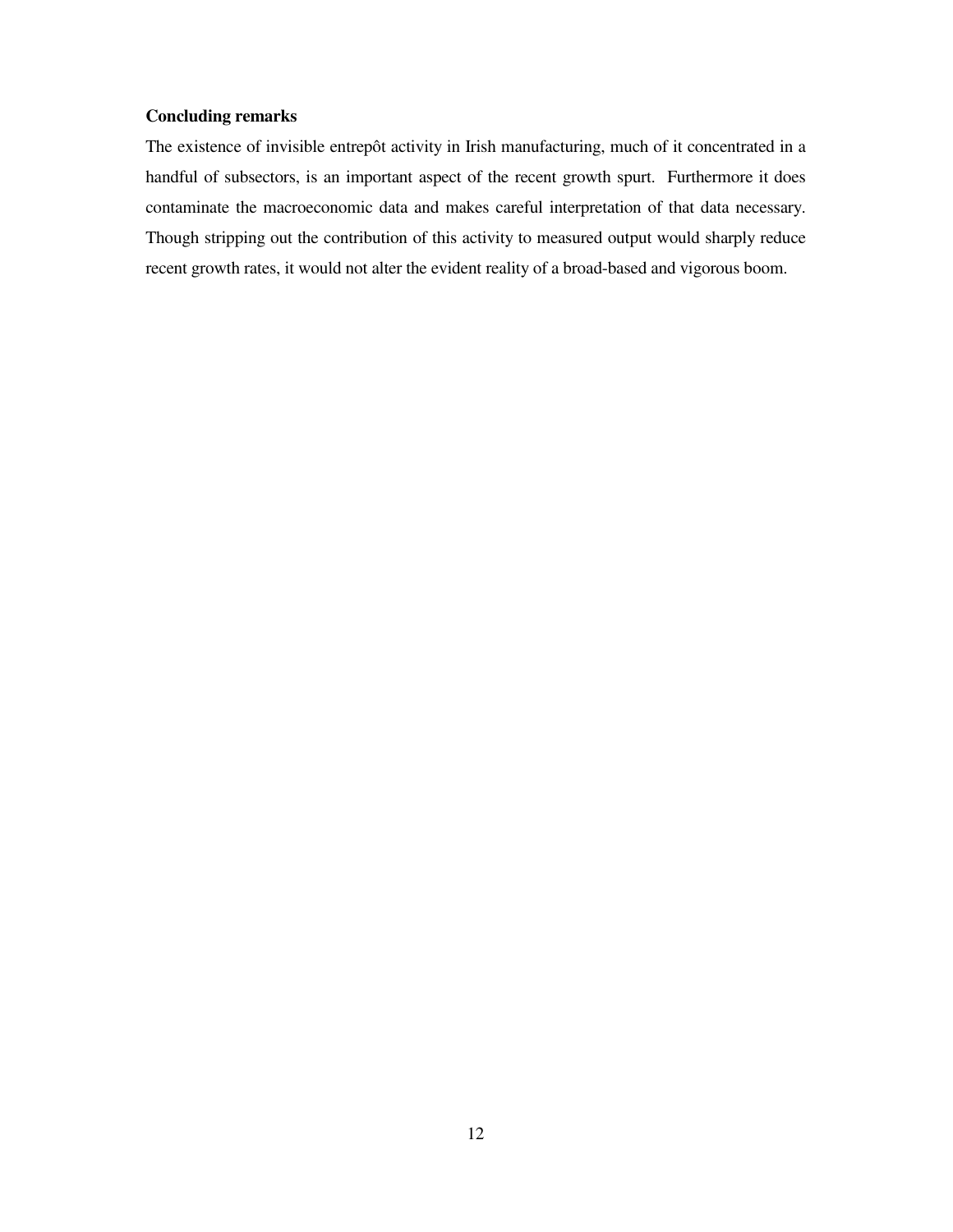### **Concluding remarks**

The existence of invisible entrepôt activity in Irish manufacturing, much of it concentrated in a handful of subsectors, is an important aspect of the recent growth spurt. Furthermore it does contaminate the macroeconomic data and makes careful interpretation of that data necessary. Though stripping out the contribution of this activity to measured output would sharply reduce recent growth rates, it would not alter the evident reality of a broad-based and vigorous boom.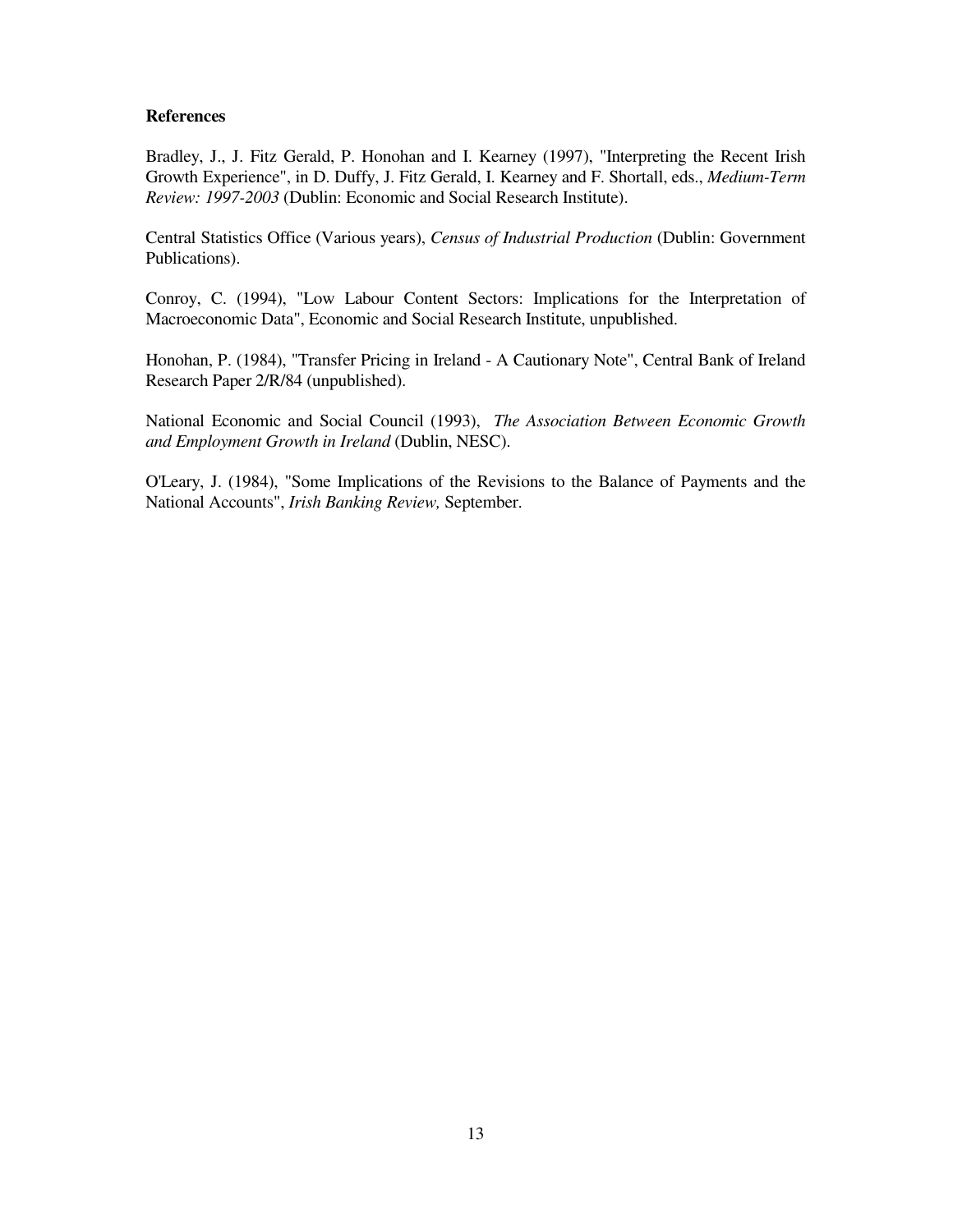### **References**

Bradley, J., J. Fitz Gerald, P. Honohan and I. Kearney (1997), "Interpreting the Recent Irish Growth Experience", in D. Duffy, J. Fitz Gerald, I. Kearney and F. Shortall, eds., *Medium-Term Review: 1997-2003* (Dublin: Economic and Social Research Institute).

Central Statistics Office (Various years), *Census of Industrial Production* (Dublin: Government Publications).

Conroy, C. (1994), "Low Labour Content Sectors: Implications for the Interpretation of Macroeconomic Data", Economic and Social Research Institute, unpublished.

Honohan, P. (1984), "Transfer Pricing in Ireland - A Cautionary Note", Central Bank of Ireland Research Paper 2/R/84 (unpublished).

National Economic and Social Council (1993), *The Association Between Economic Growth and Employment Growth in Ireland* (Dublin, NESC).

O'Leary, J. (1984), "Some Implications of the Revisions to the Balance of Payments and the National Accounts", *Irish Banking Review,* September.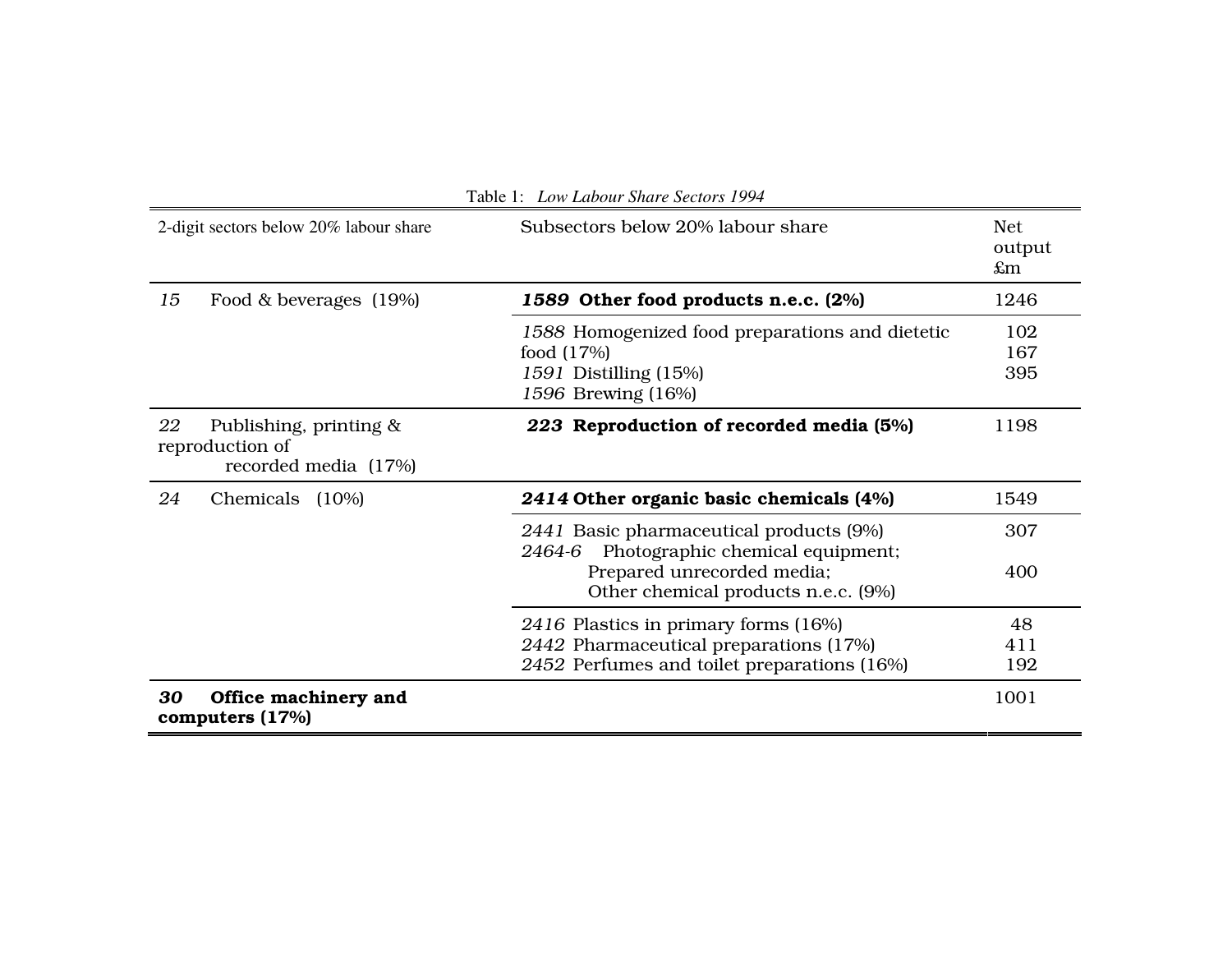| 2-digit sectors below 20% labour share |                                                                   | Subsectors below 20% labour share                                                                                                                       | Net.<br>output<br>$\pounds$ m |
|----------------------------------------|-------------------------------------------------------------------|---------------------------------------------------------------------------------------------------------------------------------------------------------|-------------------------------|
| 15                                     | Food & beverages (19%)                                            | 1589 Other food products n.e.c. (2%)                                                                                                                    | 1246                          |
|                                        |                                                                   | 1588 Homogenized food preparations and dietetic<br>food $(17%)$<br>1591 Distilling (15%)<br>1596 Brewing (16%)                                          | 102<br>167<br>395             |
| 22                                     | Publishing, printing &<br>reproduction of<br>recorded media (17%) | 223 Reproduction of recorded media (5%)                                                                                                                 | 1198                          |
| 24                                     | Chemicals<br>$(10\%)$                                             | 2414 Other organic basic chemicals (4%)                                                                                                                 | 1549                          |
|                                        |                                                                   | 2441 Basic pharmaceutical products (9%)<br>2464-6 Photographic chemical equipment;<br>Prepared unrecorded media;<br>Other chemical products n.e.c. (9%) | 307<br>400                    |
|                                        |                                                                   | 2416 Plastics in primary forms (16%)<br>2442 Pharmaceutical preparations (17%)<br>2452 Perfumes and toilet preparations (16%)                           | 48<br>411<br>192              |
| 30                                     | Office machinery and<br>computers (17%)                           |                                                                                                                                                         | 1001                          |

Table 1: *Low Labour Share Sectors 1994*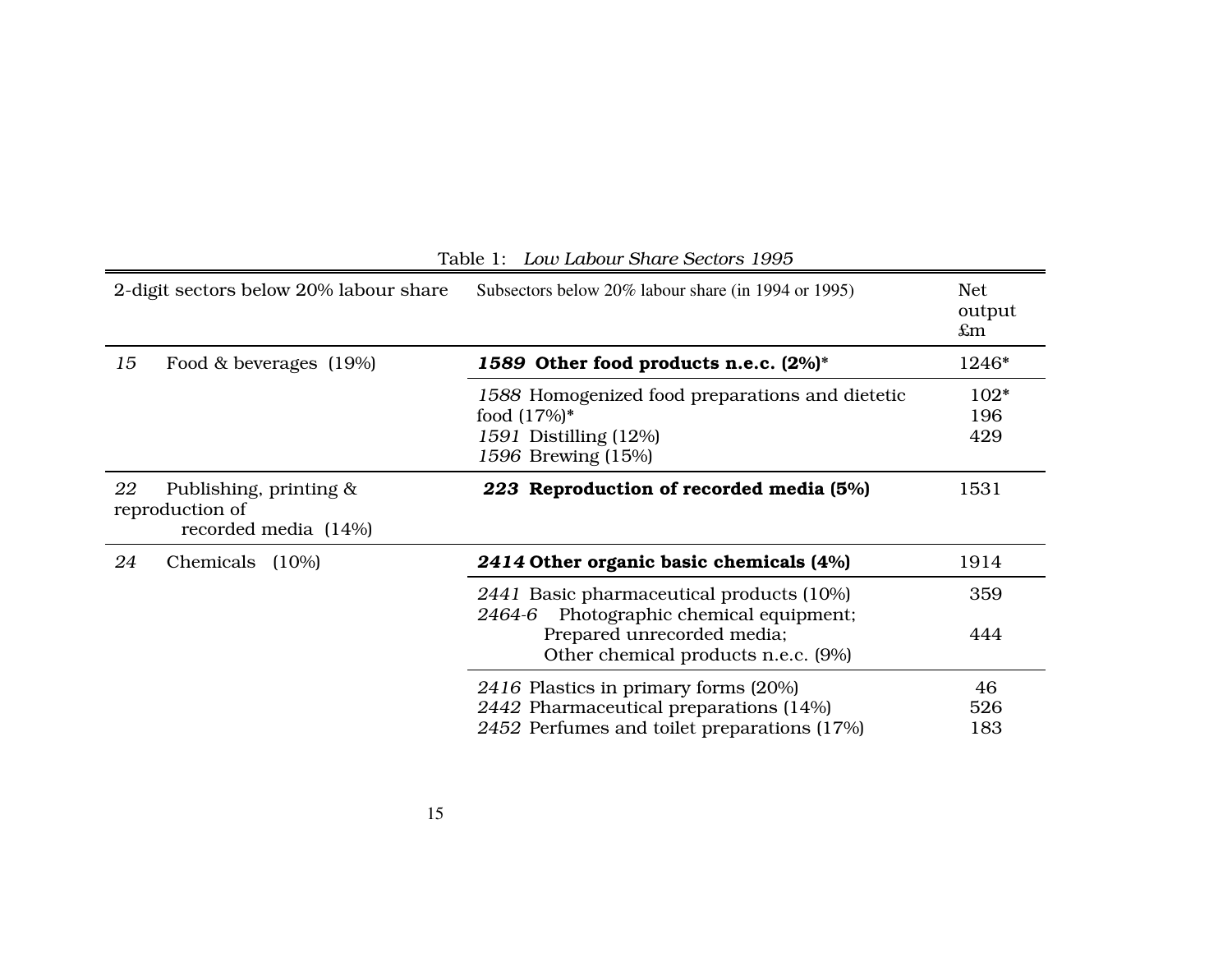| 2-digit sectors below 20% labour share |                                                                   | Subsectors below 20% labour share (in 1994 or 1995)                                                                                                         | <b>Net</b><br>output<br>$\pounds$ m |  |
|----------------------------------------|-------------------------------------------------------------------|-------------------------------------------------------------------------------------------------------------------------------------------------------------|-------------------------------------|--|
| 15                                     | Food & beverages (19%)                                            | 1589 Other food products n.e.c. (2%)*                                                                                                                       | 1246*                               |  |
|                                        |                                                                   | 1588 Homogenized food preparations and dietetic<br>food $(17%)^*$<br>1591 Distilling (12%)<br>1596 Brewing (15%)                                            | 102*<br>196<br>429                  |  |
| 22                                     | Publishing, printing &<br>reproduction of<br>recorded media (14%) | 223 Reproduction of recorded media (5%)                                                                                                                     | 1531                                |  |
| 24                                     | Chemicals<br>$(10\%)$                                             | 2414 Other organic basic chemicals (4%)                                                                                                                     | 1914                                |  |
|                                        |                                                                   | 2441 Basic pharmaceutical products (10%)<br>Photographic chemical equipment;<br>2464-6<br>Prepared unrecorded media;<br>Other chemical products n.e.c. (9%) | 359<br>444                          |  |
|                                        |                                                                   | 2416 Plastics in primary forms (20%)<br>2442 Pharmaceutical preparations (14%)<br>2452 Perfumes and toilet preparations (17%)                               | 46<br>526<br>183                    |  |

#### Table 1: *Low Labour Share Sectors 1995*

 $\overline{\phantom{0}}$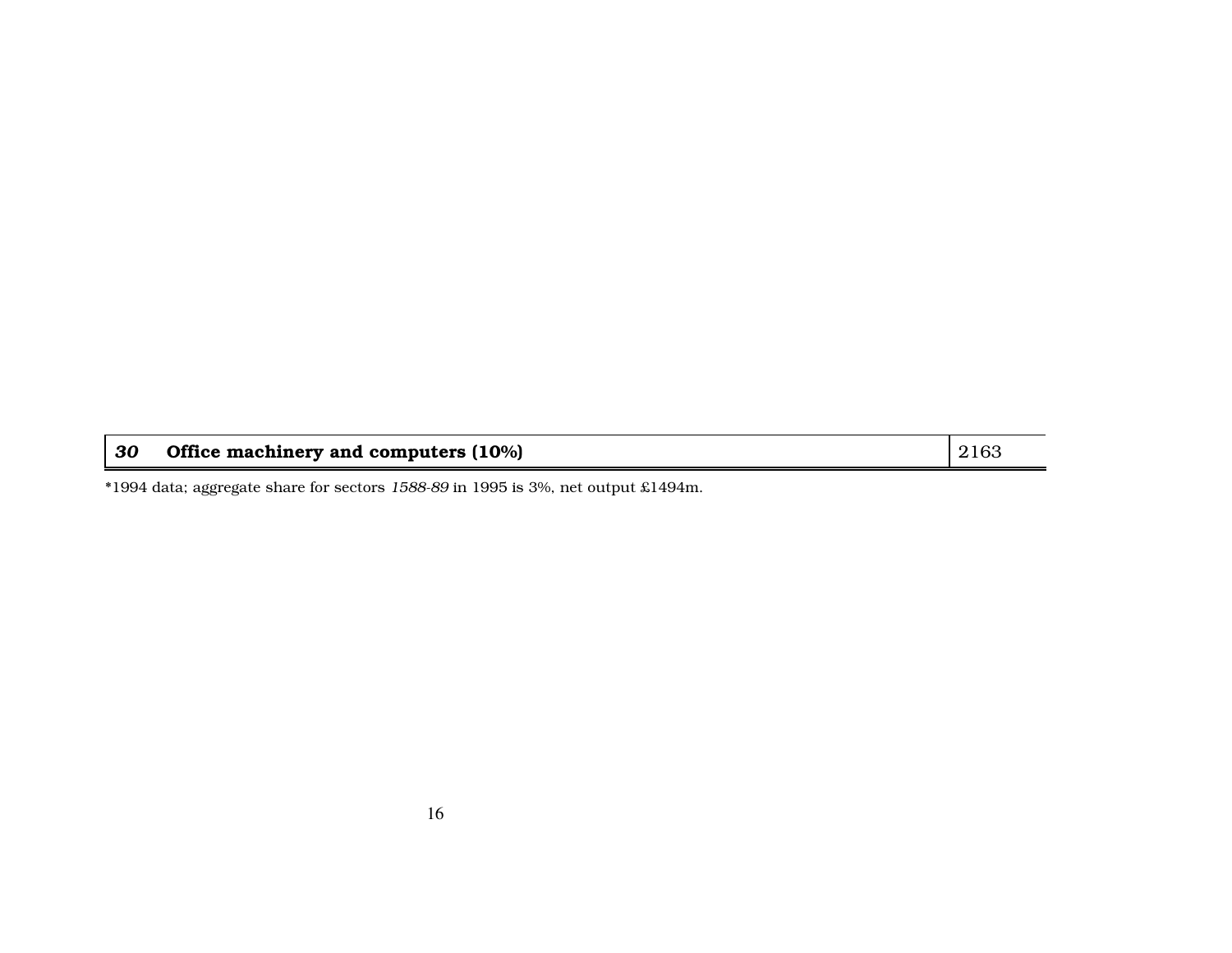| 30 | Office machinery and computers $(10\%)$ | 2163 |
|----|-----------------------------------------|------|
|----|-----------------------------------------|------|

\*1994 data; aggregate share for sectors *1588-89* in 1995 is 3%, net output £1494m.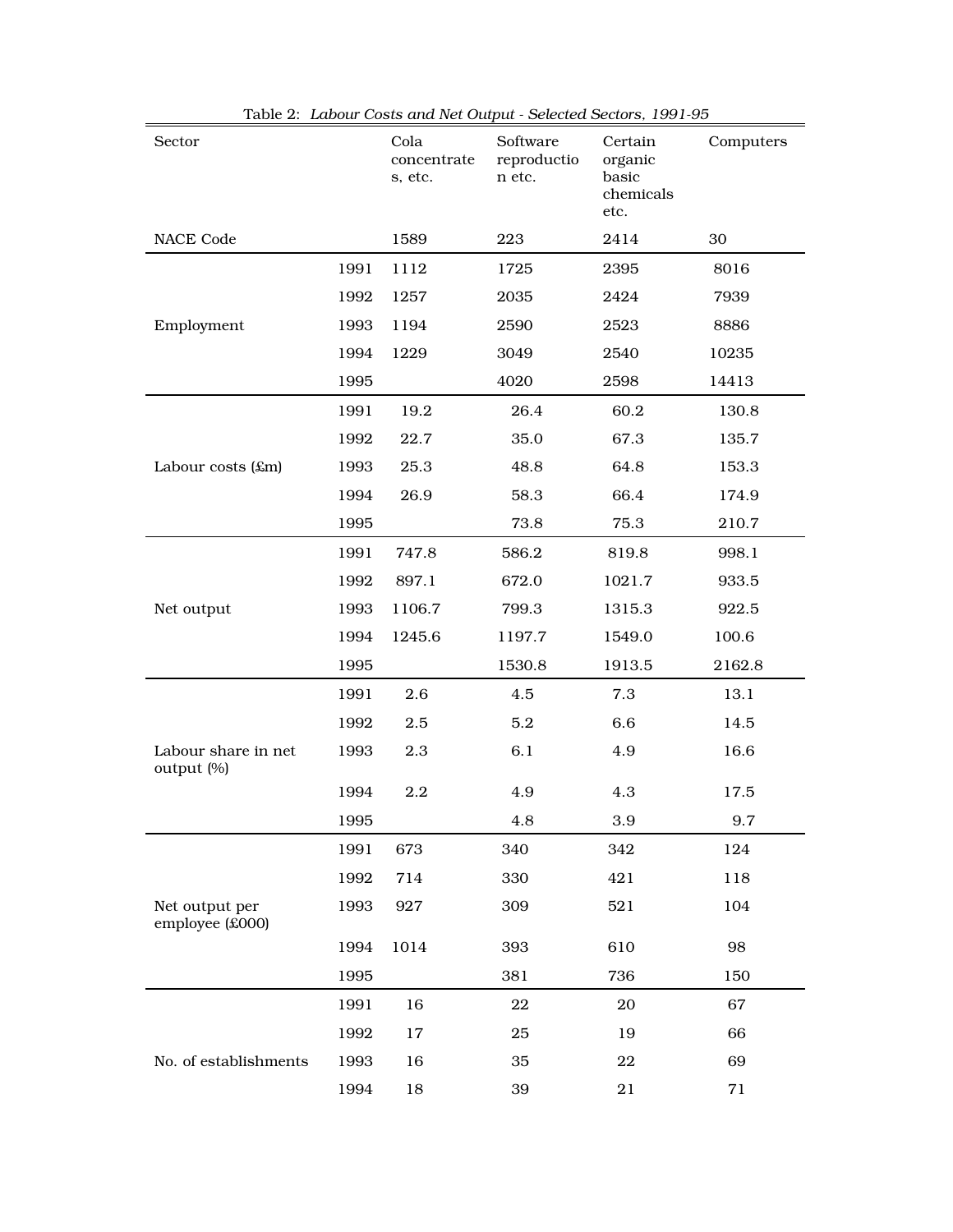| Sector                            |      | Cola<br>concentrate<br>s, etc. | Software<br>reproductio<br>n etc. | Certain<br>organic<br>basic<br>chemicals<br>etc. | Computers |  |
|-----------------------------------|------|--------------------------------|-----------------------------------|--------------------------------------------------|-----------|--|
| <b>NACE Code</b>                  |      | 1589                           | 223                               | 2414                                             | 30        |  |
|                                   | 1991 | 1112                           | 1725                              | 2395                                             | 8016      |  |
|                                   | 1992 | 1257                           | 2035                              | 2424                                             | 7939      |  |
| Employment                        | 1993 | 1194                           | 2590                              | 2523                                             | 8886      |  |
|                                   | 1994 | 1229                           | 3049                              | 2540                                             | 10235     |  |
|                                   | 1995 |                                | 4020                              | 2598                                             | 14413     |  |
|                                   | 1991 | 19.2                           | 26.4                              | 60.2                                             | 130.8     |  |
|                                   | 1992 | 22.7                           | 35.0                              | 67.3                                             | 135.7     |  |
| Labour costs $(\text{\pounds}m)$  | 1993 | 25.3                           | 48.8                              | 64.8                                             | 153.3     |  |
|                                   | 1994 | 26.9                           | 58.3                              | 66.4                                             | 174.9     |  |
|                                   | 1995 |                                | 73.8                              | 75.3                                             | 210.7     |  |
|                                   | 1991 | 747.8                          | 586.2                             | 819.8                                            | 998.1     |  |
|                                   | 1992 | 897.1                          | 672.0                             | 1021.7                                           | 933.5     |  |
| Net output                        | 1993 | 1106.7                         | 799.3                             | 1315.3                                           | 922.5     |  |
|                                   | 1994 | 1245.6                         | 1197.7                            | 1549.0                                           | 100.6     |  |
|                                   | 1995 |                                | 1530.8                            | 1913.5                                           | 2162.8    |  |
|                                   | 1991 | 2.6                            | 4.5                               | 7.3                                              | 13.1      |  |
|                                   | 1992 | 2.5                            | 5.2                               | 6.6                                              | 14.5      |  |
| Labour share in net<br>output (%) | 1993 | 2.3                            | 6.1                               | 4.9                                              | 16.6      |  |
|                                   | 1994 | 2.2                            | 4.9                               | 4.3                                              | 17.5      |  |
|                                   | 1995 |                                | 4.8                               | 3.9                                              | 9.7       |  |
|                                   | 1991 | 673                            | 340                               | 342                                              | 124       |  |
|                                   | 1992 | 714                            | 330                               | 421                                              | 118       |  |
| Net output per<br>employee (£000) | 1993 | 927                            | 309                               | 521                                              | 104       |  |
|                                   | 1994 | 1014                           | 393                               | 610                                              | 98        |  |
|                                   | 1995 |                                | 381                               | 736                                              | 150       |  |
|                                   | 1991 | 16                             | $\bf{22}$                         | 20                                               | 67        |  |
|                                   | 1992 | 17                             | 25                                | 19                                               | 66        |  |
| No. of establishments             | 1993 | 16                             | 35                                | 22                                               | 69        |  |
|                                   | 1994 | 18                             | 39                                | 21                                               | 71        |  |

Table 2: *Labour Costs and Net Output - Selected Sectors, 1991-95*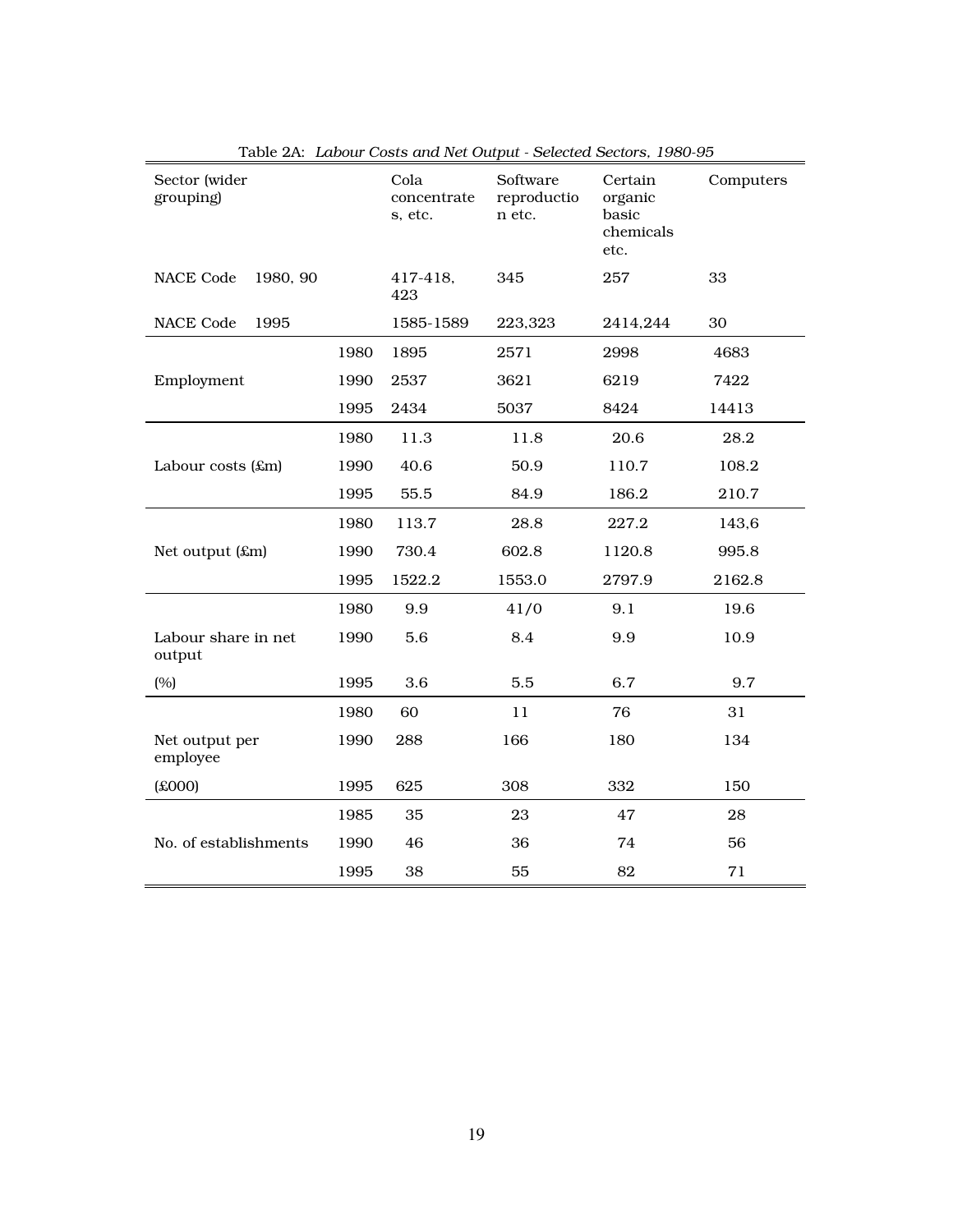| Sector (wider<br>grouping)    |      | Cola<br>concentrate<br>s, etc. | Software<br>reproductio<br>n etc. | Certain<br>organic<br>basic<br>chemicals<br>etc. | Computers |
|-------------------------------|------|--------------------------------|-----------------------------------|--------------------------------------------------|-----------|
| <b>NACE Code</b><br>1980, 90  |      | 417-418.<br>423                | 345                               | 257                                              | 33        |
| <b>NACE Code</b><br>1995      |      | 1585-1589                      | 223,323                           | 2414,244                                         | 30        |
|                               | 1980 | 1895                           | 2571                              | 2998                                             | 4683      |
| Employment                    | 1990 | 2537                           | 3621                              | 6219                                             | 7422      |
|                               | 1995 | 2434                           | 5037                              | 8424                                             | 14413     |
|                               | 1980 | 11.3                           | 11.8                              | 20.6                                             | 28.2      |
| Labour costs (£m)             | 1990 | 40.6                           | 50.9                              | 110.7                                            | 108.2     |
|                               | 1995 | 55.5                           | 84.9                              | 186.2                                            | 210.7     |
|                               | 1980 | 113.7                          | 28.8                              | 227.2                                            | 143,6     |
| Net output (£m)               | 1990 | 730.4                          | 602.8                             | 1120.8                                           | 995.8     |
|                               | 1995 | 1522.2                         | 1553.0                            | 2797.9                                           | 2162.8    |
|                               | 1980 | 9.9                            | 41/0                              | 9.1                                              | 19.6      |
| Labour share in net<br>output | 1990 | 5.6                            | 8.4                               | 9.9                                              | 10.9      |
| (%)                           | 1995 | 3.6                            | 5.5                               | 6.7                                              | 9.7       |
|                               | 1980 | 60                             | 11                                | 76                                               | 31        |
| Net output per<br>employee    | 1990 | 288                            | 166                               | 180                                              | 134       |
| (000x)                        | 1995 | 625                            | 308                               | 332                                              | 150       |
|                               | 1985 | 35                             | 23                                | 47                                               | 28        |
| No. of establishments         | 1990 | 46                             | 36                                | 74                                               | 56        |
|                               | 1995 | 38                             | 55                                | 82                                               | 71        |

Table 2A: *Labour Costs and Net Output - Selected Sectors, 1980-95*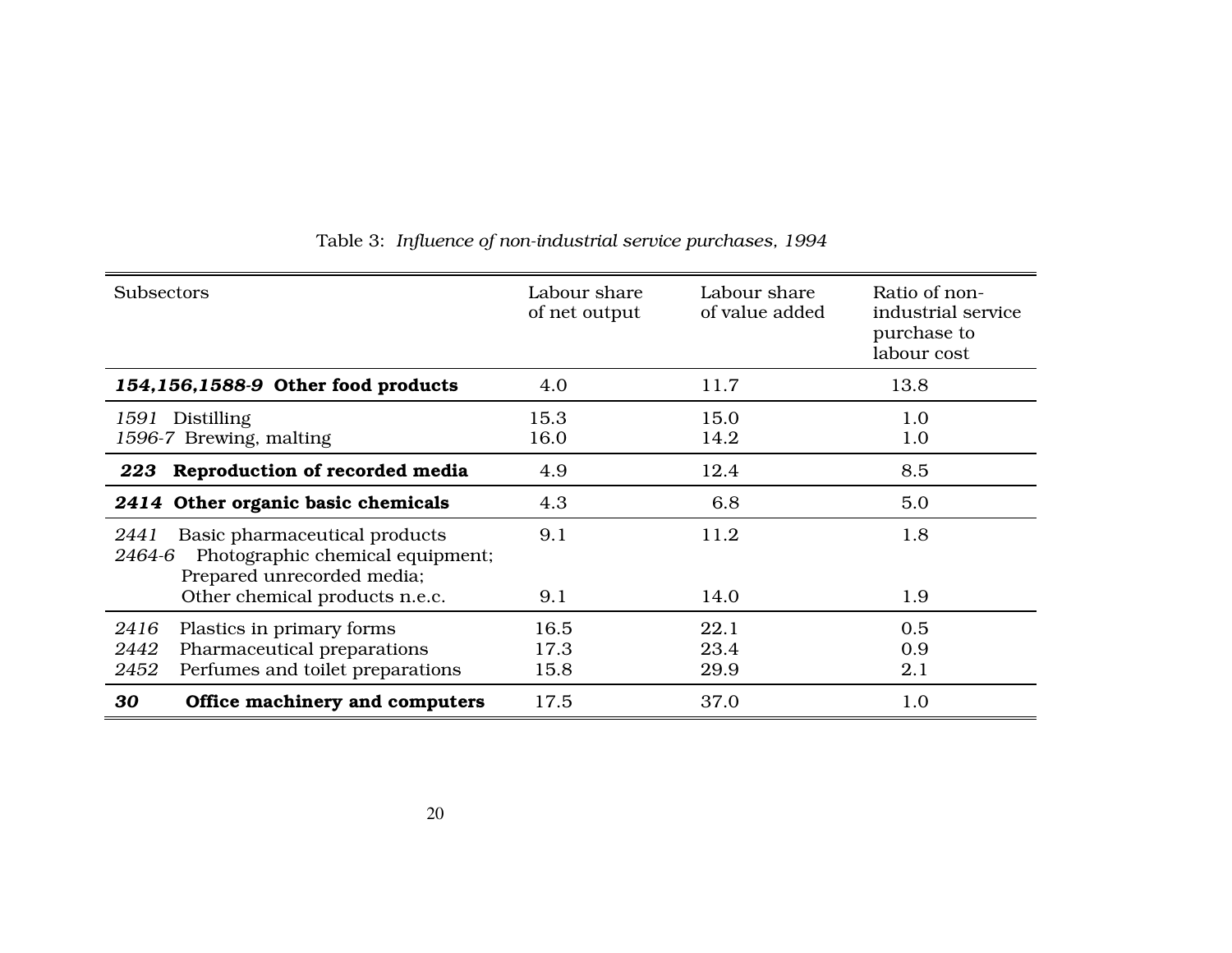| <b>Subsectors</b>                                                                                                                                   | Labour share<br>of net output | Labour share<br>of value added | Ratio of non-<br>industrial service<br>purchase to<br>labour cost |
|-----------------------------------------------------------------------------------------------------------------------------------------------------|-------------------------------|--------------------------------|-------------------------------------------------------------------|
| 154,156,1588-9 Other food products                                                                                                                  | 4.0                           | 11.7                           | 13.8                                                              |
| Distilling<br>1591<br>1596-7 Brewing, malting                                                                                                       | 15.3<br>16.0                  | 15.0<br>14.2                   | 1.0<br>1.0                                                        |
| Reproduction of recorded media<br>223                                                                                                               | 4.9                           | 12.4                           | 8.5                                                               |
| 2414 Other organic basic chemicals                                                                                                                  | 4.3                           | 6.8                            | 5.0                                                               |
| Basic pharmaceutical products<br>2441<br>Photographic chemical equipment;<br>2464-6<br>Prepared unrecorded media;<br>Other chemical products n.e.c. | 9.1<br>9.1                    | 11.2<br>14.0                   | 1.8<br>1.9                                                        |
| Plastics in primary forms<br>2416<br>Pharmaceutical preparations<br>2442<br>Perfumes and toilet preparations<br>2452                                | 16.5<br>17.3<br>15.8          | 22.1<br>23.4<br>29.9           | 0.5<br>0.9<br>2.1                                                 |
| Office machinery and computers<br>30                                                                                                                | 17.5                          | 37.0                           | 1.0                                                               |

#### Table 3: *Influence of non-industrial service purchases, 1994*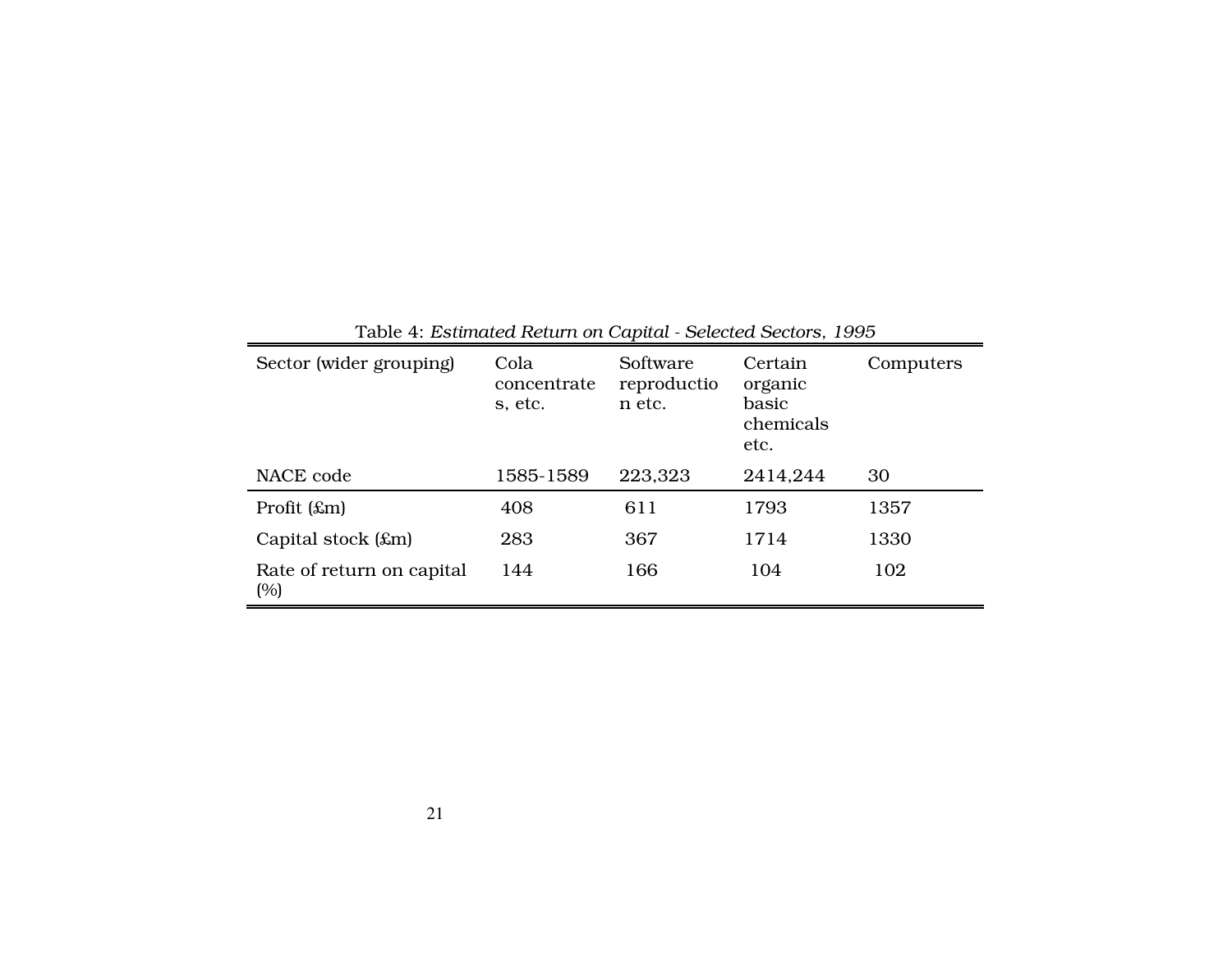| Sector (wider grouping)          | Cola<br>concentrate<br>s, etc. | Software<br>reproductio<br>n etc. | Certain<br>organic<br>basic<br>chemicals<br>etc. | Computers |
|----------------------------------|--------------------------------|-----------------------------------|--------------------------------------------------|-----------|
| NACE code                        | 1585-1589                      | 223,323                           | 2414,244                                         | 30        |
| Profit $(\pounds m)$             | 408                            | 611                               | 1793                                             | 1357      |
| Capital stock $(\pounds m)$      | 283                            | 367                               | 1714                                             | 1330      |
| Rate of return on capital<br>(%) | 144                            | 166                               | 104                                              | 102       |

Table 4: *Estimated Return on Capital - Selected Sectors, 1995*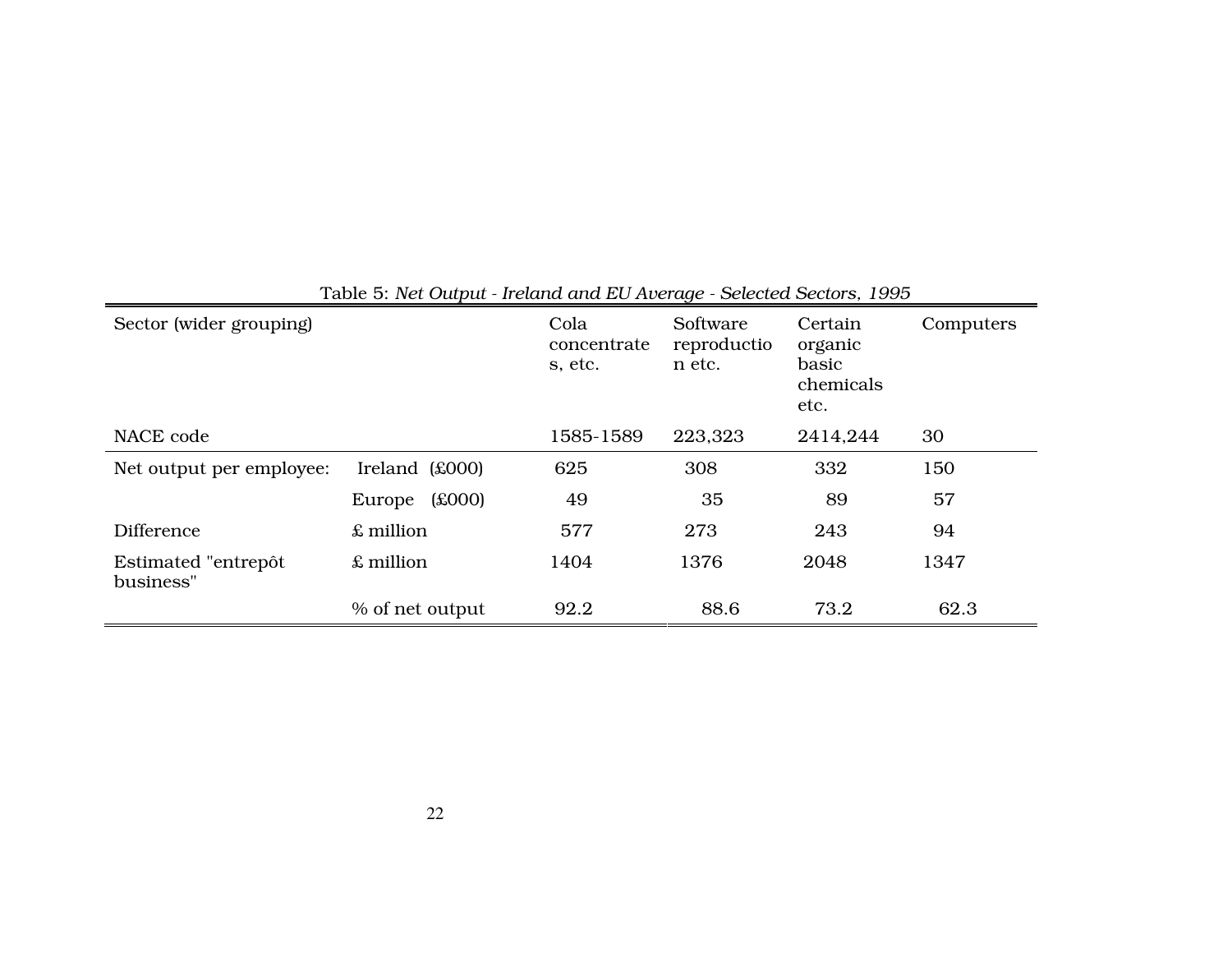| Sector (wider grouping)          |                  | Cola<br>concentrate<br>s, etc. | Software<br>reproductio<br>n etc. | Certain<br>organic<br>basic<br>chemicals<br>etc. | Computers |
|----------------------------------|------------------|--------------------------------|-----------------------------------|--------------------------------------------------|-----------|
| NACE code                        |                  | 1585-1589                      | 223,323                           | 2414,244                                         | 30        |
| Net output per employee:         | Ireland $($000)$ | 625                            | 308                               | 332                                              | 150       |
|                                  | f(000)<br>Europe | 49                             | 35                                | 89                                               | 57        |
| <b>Difference</b>                | £ million        | 577                            | 273                               | 243                                              | 94        |
| Estimated "entrepôt<br>business" | £ million        | 1404                           | 1376                              | 2048                                             | 1347      |
|                                  | % of net output  | 92.2                           | 88.6                              | 73.2                                             | 62.3      |

### Table 5: *Net Output - Ireland and EU Average - Selected Sectors, 1995*